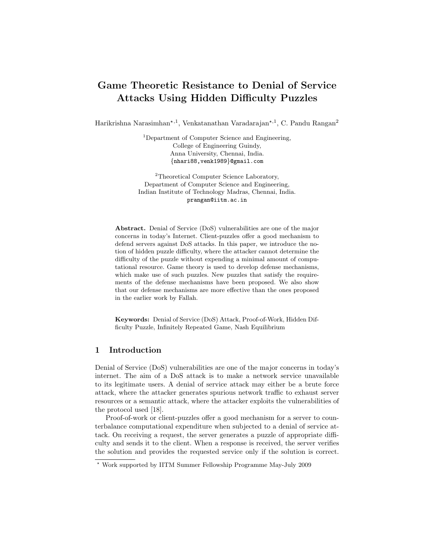# Game Theoretic Resistance to Denial of Service Attacks Using Hidden Difficulty Puzzles

Harikrishna Narasimhan\*<sup>,1</sup>, Venkatanathan Varadarajan\*<sup>,1</sup>, C. Pandu Rangan<sup>2</sup>

<sup>1</sup>Department of Computer Science and Engineering, College of Engineering Guindy, Anna University, Chennai, India. {nhari88,venk1989}@gmail.com

<sup>2</sup>Theoretical Computer Science Laboratory, Department of Computer Science and Engineering, Indian Institute of Technology Madras, Chennai, India. prangan@iitm.ac.in

Abstract. Denial of Service (DoS) vulnerabilities are one of the major concerns in today's Internet. Client-puzzles offer a good mechanism to defend servers against DoS attacks. In this paper, we introduce the notion of hidden puzzle difficulty, where the attacker cannot determine the difficulty of the puzzle without expending a minimal amount of computational resource. Game theory is used to develop defense mechanisms, which make use of such puzzles. New puzzles that satisfy the requirements of the defense mechanisms have been proposed. We also show that our defense mechanisms are more effective than the ones proposed in the earlier work by Fallah.

Keywords: Denial of Service (DoS) Attack, Proof-of-Work, Hidden Difficulty Puzzle, Infinitely Repeated Game, Nash Equilibrium

# 1 Introduction

Denial of Service (DoS) vulnerabilities are one of the major concerns in today's internet. The aim of a DoS attack is to make a network service unavailable to its legitimate users. A denial of service attack may either be a brute force attack, where the attacker generates spurious network traffic to exhaust server resources or a semantic attack, where the attacker exploits the vulnerabilities of the protocol used [18].

Proof-of-work or client-puzzles offer a good mechanism for a server to counterbalance computational expenditure when subjected to a denial of service attack. On receiving a request, the server generates a puzzle of appropriate difficulty and sends it to the client. When a response is received, the server verifies the solution and provides the requested service only if the solution is correct.

<sup>?</sup> Work supported by IITM Summer Fellowship Programme May-July 2009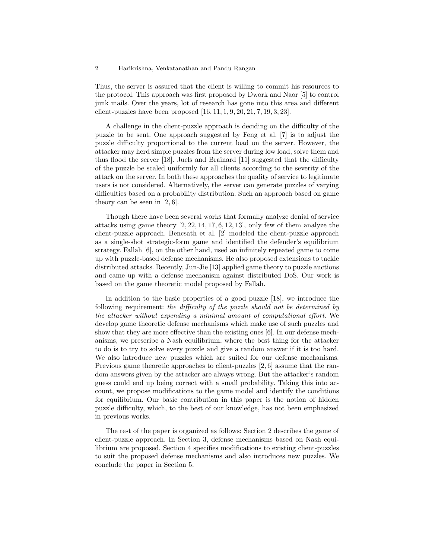Thus, the server is assured that the client is willing to commit his resources to the protocol. This approach was first proposed by Dwork and Naor [5] to control junk mails. Over the years, lot of research has gone into this area and different client-puzzles have been proposed  $[16, 11, 1, 9, 20, 21, 7, 19, 3, 23]$ .

A challenge in the client-puzzle approach is deciding on the difficulty of the puzzle to be sent. One approach suggested by Feng et al. [7] is to adjust the puzzle difficulty proportional to the current load on the server. However, the attacker may herd simple puzzles from the server during low load, solve them and thus flood the server [18]. Juels and Brainard [11] suggested that the difficulty of the puzzle be scaled uniformly for all clients according to the severity of the attack on the server. In both these approaches the quality of service to legitimate users is not considered. Alternatively, the server can generate puzzles of varying difficulties based on a probability distribution. Such an approach based on game theory can be seen in [2, 6].

Though there have been several works that formally analyze denial of service attacks using game theory  $[2, 22, 14, 17, 6, 12, 13]$ , only few of them analyze the client-puzzle approach. Bencsath et al. [2] modeled the client-puzzle approach as a single-shot strategic-form game and identified the defender's equilibrium strategy. Fallah [6], on the other hand, used an infinitely repeated game to come up with puzzle-based defense mechanisms. He also proposed extensions to tackle distributed attacks. Recently, Jun-Jie [13] applied game theory to puzzle auctions and came up with a defense mechanism against distributed DoS. Our work is based on the game theoretic model proposed by Fallah.

In addition to the basic properties of a good puzzle [18], we introduce the following requirement: the difficulty of the puzzle should not be determined by the attacker without expending a minimal amount of computational effort. We develop game theoretic defense mechanisms which make use of such puzzles and show that they are more effective than the existing ones [6]. In our defense mechanisms, we prescribe a Nash equilibrium, where the best thing for the attacker to do is to try to solve every puzzle and give a random answer if it is too hard. We also introduce new puzzles which are suited for our defense mechanisms. Previous game theoretic approaches to client-puzzles [2, 6] assume that the random answers given by the attacker are always wrong. But the attacker's random guess could end up being correct with a small probability. Taking this into account, we propose modifications to the game model and identify the conditions for equilibrium. Our basic contribution in this paper is the notion of hidden puzzle difficulty, which, to the best of our knowledge, has not been emphasized in previous works.

The rest of the paper is organized as follows: Section 2 describes the game of client-puzzle approach. In Section 3, defense mechanisms based on Nash equilibrium are proposed. Section 4 specifies modifications to existing client-puzzles to suit the proposed defense mechanisms and also introduces new puzzles. We conclude the paper in Section 5.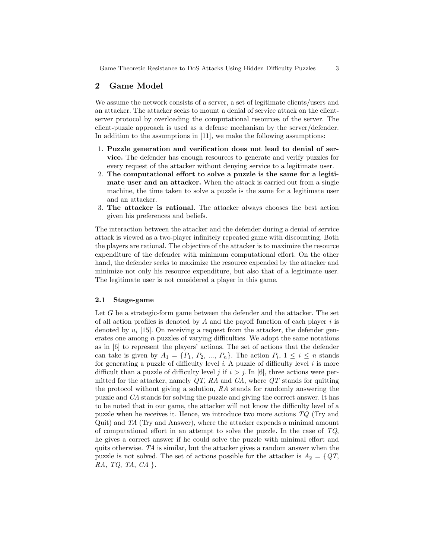# 2 Game Model

We assume the network consists of a server, a set of legitimate clients/users and an attacker. The attacker seeks to mount a denial of service attack on the clientserver protocol by overloading the computational resources of the server. The client-puzzle approach is used as a defense mechanism by the server/defender. In addition to the assumptions in [11], we make the following assumptions:

- 1. Puzzle generation and verification does not lead to denial of service. The defender has enough resources to generate and verify puzzles for every request of the attacker without denying service to a legitimate user.
- 2. The computational effort to solve a puzzle is the same for a legitimate user and an attacker. When the attack is carried out from a single machine, the time taken to solve a puzzle is the same for a legitimate user and an attacker.
- 3. The attacker is rational. The attacker always chooses the best action given his preferences and beliefs.

The interaction between the attacker and the defender during a denial of service attack is viewed as a two-player infinitely repeated game with discounting. Both the players are rational. The objective of the attacker is to maximize the resource expenditure of the defender with minimum computational effort. On the other hand, the defender seeks to maximize the resource expended by the attacker and minimize not only his resource expenditure, but also that of a legitimate user. The legitimate user is not considered a player in this game.

#### 2.1 Stage-game

Let  $G$  be a strategic-form game between the defender and the attacker. The set of all action profiles is denoted by  $A$  and the payoff function of each player  $i$  is denoted by  $u_i$  [15]. On receiving a request from the attacker, the defender generates one among  $n$  puzzles of varying difficulties. We adopt the same notations as in [6] to represent the players' actions. The set of actions that the defender can take is given by  $A_1 = \{P_1, P_2, ..., P_n\}$ . The action  $P_i, 1 \leq i \leq n$  stands for generating a puzzle of difficulty level  $i$ . A puzzle of difficulty level  $i$  is more difficult than a puzzle of difficulty level j if  $i > j$ . In [6], three actions were permitted for the attacker, namely  $QT$ , RA and CA, where  $QT$  stands for quitting the protocol without giving a solution, RA stands for randomly answering the puzzle and CA stands for solving the puzzle and giving the correct answer. It has to be noted that in our game, the attacker will not know the difficulty level of a puzzle when he receives it. Hence, we introduce two more actions  $TQ$  (Try and Quit) and TA (Try and Answer), where the attacker expends a minimal amount of computational effort in an attempt to solve the puzzle. In the case of  $TQ$ , he gives a correct answer if he could solve the puzzle with minimal effort and quits otherwise. TA is similar, but the attacker gives a random answer when the puzzle is not solved. The set of actions possible for the attacker is  $A_2 = \{QT,$ RA, TQ, TA,  $CA$  }.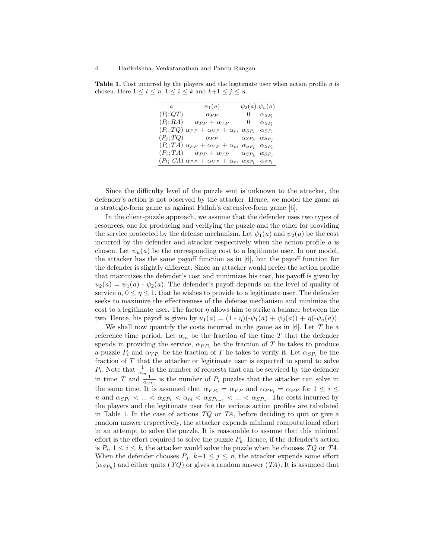Table 1. Cost incurred by the players and the legitimate user when action profile a is chosen. Here  $1 \leq l \leq n, 1 \leq i \leq k$  and  $k+1 \leq j \leq n$ .

| $\boldsymbol{a}$ | $\psi_1(a)$                                                                  |                   | $\psi_2(a) \psi_u(a)$ |
|------------------|------------------------------------------------------------------------------|-------------------|-----------------------|
|                  | $(P_l; QT)$ $\alpha_{PP}$<br>0 $\alpha_{SP_1}$                               |                   |                       |
| $(P_l;RA)$       | $\alpha_{PP} + \alpha_{VP}$                                                  | 0 $\alpha_{SP_1}$ |                       |
|                  | $(P_i; TQ) \alpha_{PP} + \alpha_{VP} + \alpha_m \alpha_{SP_i}$               |                   | $\alpha_{SP_i}$       |
|                  | $(P_j; TQ)$ $\alpha_{PP}$ $\alpha_{SP_k}$ $\alpha_{SP_j}$                    |                   |                       |
|                  | $(P_i; TA) \alpha_{PP} + \alpha_{VP} + \alpha_m \alpha_{SP_i} \alpha_{SP_i}$ |                   |                       |
|                  | $(P_j; TA)$ $\alpha_{PP} + \alpha_{VP}$ $\alpha_{SP_k}$ $\alpha_{SP_j}$      |                   |                       |
|                  | $(P_l; CA) \alpha_{PP} + \alpha_{VP} + \alpha_m \alpha_{SP_l} \alpha_{SP_l}$ |                   |                       |

Since the difficulty level of the puzzle sent is unknown to the attacker, the defender's action is not observed by the attacker. Hence, we model the game as a strategic-form game as against Fallah's extensive-form game [6].

In the client-puzzle approach, we assume that the defender uses two types of resources, one for producing and verifying the puzzle and the other for providing the service protected by the defense mechanism. Let  $\psi_1(a)$  and  $\psi_2(a)$  be the cost incurred by the defender and attacker respectively when the action profile a is chosen. Let  $\psi_u(a)$  be the corresponding cost to a legitimate user. In our model, the attacker has the same payoff function as in [6], but the payoff function for the defender is slightly different. Since an attacker would prefer the action profile that maximizes the defender's cost and minimizes his cost, his payoff is given by  $u_2(a) = \psi_1(a) - \psi_2(a)$ . The defender's payoff depends on the level of quality of service  $\eta$ ,  $0 \leq \eta \leq 1$ , that he wishes to provide to a legitimate user. The defender seeks to maximize the effectiveness of the defense mechanism and minimize the cost to a legitimate user. The factor  $\eta$  allows him to strike a balance between the two. Hence, his payoff is given by  $u_1(a) = (1 - \eta)(-\psi_1(a) + \psi_2(a)) + \eta(-\psi_2(a))$ .

We shall now quantify the costs incurred in the game as in  $[6]$ . Let T be a reference time period. Let  $\alpha_m$  be the fraction of the time T that the defender spends in providing the service,  $\alpha_{PP_i}$  be the fraction of T he takes to produce a puzzle  $P_i$  and  $\alpha_{VP_i}$  be the fraction of T he takes to verify it. Let  $\alpha_{SP_i}$  be the fraction of T that the attacker or legitimate user is expected to spend to solve  $P_i$ . Note that  $\frac{1}{\alpha_m}$  is the number of requests that can be serviced by the defender in time T and  $\frac{1}{\alpha_{SP_i}}$  is the number of  $P_i$  puzzles that the attacker can solve in the same time. It is assumed that  $\alpha_{VP_i} = \alpha_{VP}$  and  $\alpha_{PP_i} = \alpha_{PP}$  for  $1 \leq i \leq$ *n* and  $\alpha_{SP_1} < ... < \alpha_{SP_k} < \alpha_m < \alpha_{SP_{k+1}} < ... < \alpha_{SP_n}$ . The costs incurred by the players and the legitimate user for the various action profiles are tabulated in Table 1. In the case of actions  $TQ$  or TA, before deciding to quit or give a random answer respectively, the attacker expends minimal computational effort in an attempt to solve the puzzle. It is reasonable to assume that this minimal effort is the effort required to solve the puzzle  $P_k$ . Hence, if the defender's action is  $P_i$ ,  $1 \leq i \leq k$ , the attacker would solve the puzzle when he chooses  $TQ$  or TA. When the defender chooses  $P_j$ ,  $k+1 \leq j \leq n$ , the attacker expends some effort  $(\alpha_{SP_k})$  and either quits  $(TQ)$  or gives a random answer  $(TA)$ . It is assumed that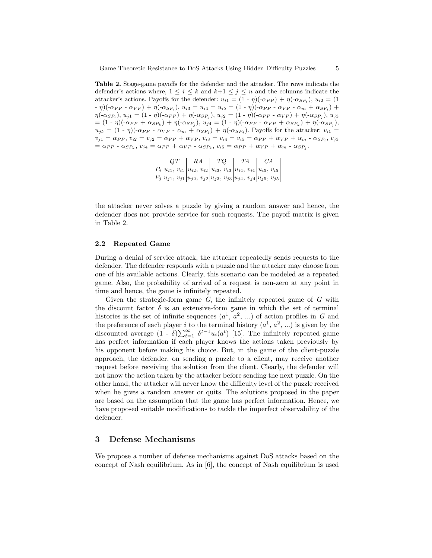Table 2. Stage-game payoffs for the defender and the attacker. The rows indicate the defender's actions where,  $1 \leq i \leq k$  and  $k+1 \leq j \leq n$  and the columns indicate the attacker's actions. Payoffs for the defender:  $u_{i1} = (1 - \eta)(-\alpha_{PP}) + \eta(-\alpha_{SP_i}), u_{i2} = (1$ - η) $(\text{-}\alpha_{PP} - \alpha_{VP}) + \eta(\text{-}\alpha_{SP_i}), u_{i3} = u_{i4} = u_{i5} = (1 - \eta)(\text{-}\alpha_{PP} - \alpha_{VP} - \alpha_m + \alpha_{SP_i}) +$  $\eta(\text{-}\alpha_{SP_i}), u_{j1} = (1-\eta)(\text{-}\alpha_{PP}) + \eta(\text{-}\alpha_{SP_j}), u_{j2} = (1-\eta)(\text{-}\alpha_{PP} - \alpha_{VP}) + \eta(\text{-}\alpha_{SP_j}), u_{j3}$ = (1 - η)(- $\alpha_{PP} + \alpha_{SP_k}$ ) + η(- $\alpha_{SP_j}$ ),  $u_{j4} = (1 - \eta)(-\alpha_{PP} - \alpha_{VP} + \alpha_{SP_k}) + \eta(-\alpha_{SP_j})$ ,  $u_{j5} = (1 - \eta)(-\alpha_{PP} - \alpha_{VP} - \alpha_m + \alpha_{SP_j}) + \eta(-\alpha_{SP_j})$ . Payoffs for the attacker:  $v_{i1} =$  $v_{j1} = \alpha_{PP}, v_{i2} = v_{j2} = \alpha_{PP} + \alpha_{VP}, v_{i3} = v_{i4} = v_{i5} = \alpha_{PP} + \alpha_{VP} + \alpha_m - \alpha_{SP_i}, v_{j3}$  $= \alpha_{PP} - \alpha_{SP_k}, v_{j4} = \alpha_{PP} + \alpha_{VP} - \alpha_{SP_k}, v_{i5} = \alpha_{PP} + \alpha_{VP} + \alpha_m - \alpha_{SP_j}.$ 

| QΤ                                                                                 | RΑ | ТQ | TA | CA |
|------------------------------------------------------------------------------------|----|----|----|----|
| $ P_i u_{i1}, v_{i1} u_{i2}, v_{i2} u_{i3}, v_{i3} u_{i4}, v_{i4} u_{i5}, v_{i5} $ |    |    |    |    |
| $ P_j u_{j1}, v_{j1} u_{j2}, v_{j2} u_{j3}, v_{j3} u_{j4}, v_{j4} u_{j5}, v_{j5} $ |    |    |    |    |

the attacker never solves a puzzle by giving a random answer and hence, the defender does not provide service for such requests. The payoff matrix is given in Table 2.

### 2.2 Repeated Game

During a denial of service attack, the attacker repeatedly sends requests to the defender. The defender responds with a puzzle and the attacker may choose from one of his available actions. Clearly, this scenario can be modeled as a repeated game. Also, the probability of arrival of a request is non-zero at any point in time and hence, the game is infinitely repeated.

Given the strategic-form game  $G$ , the infinitely repeated game of  $G$  with the discount factor  $\delta$  is an extensive-form game in which the set of terminal histories is the set of infinite sequences  $(a^1, a^2, ...)$  of action profiles in G and the preference of each player *i* to the terminal history  $(a^1, a^2, ...)$  is given by the discounted average  $(1 - \delta) \sum_{t=1}^{\infty} \delta^{t-1} u_i(a^t)$  [15]. The infinitely repeated game has perfect information if each player knows the actions taken previously by his opponent before making his choice. But, in the game of the client-puzzle approach, the defender, on sending a puzzle to a client, may receive another request before receiving the solution from the client. Clearly, the defender will not know the action taken by the attacker before sending the next puzzle. On the other hand, the attacker will never know the difficulty level of the puzzle received when he gives a random answer or quits. The solutions proposed in the paper are based on the assumption that the game has perfect information. Hence, we have proposed suitable modifications to tackle the imperfect observability of the defender.

# 3 Defense Mechanisms

We propose a number of defense mechanisms against DoS attacks based on the concept of Nash equilibrium. As in [6], the concept of Nash equilibrium is used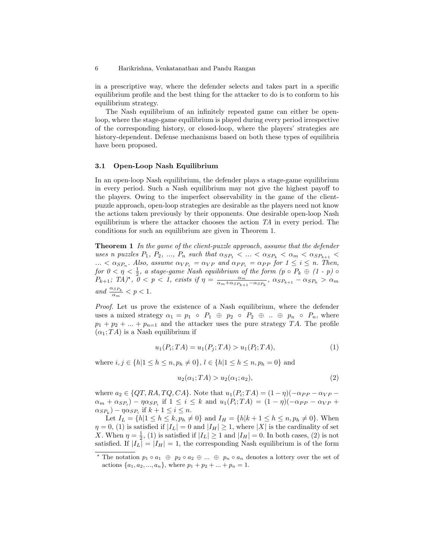in a prescriptive way, where the defender selects and takes part in a specific equilibrium profile and the best thing for the attacker to do is to conform to his equilibrium strategy.

The Nash equilibrium of an infinitely repeated game can either be openloop, where the stage-game equilibrium is played during every period irrespective of the corresponding history, or closed-loop, where the players' strategies are history-dependent. Defense mechanisms based on both these types of equilibria have been proposed.

### 3.1 Open-Loop Nash Equilibrium

In an open-loop Nash equilibrium, the defender plays a stage-game equilibrium in every period. Such a Nash equilibrium may not give the highest payoff to the players. Owing to the imperfect observability in the game of the clientpuzzle approach, open-loop strategies are desirable as the players need not know the actions taken previously by their opponents. One desirable open-loop Nash equilibrium is where the attacker chooses the action TA in every period. The conditions for such an equilibrium are given in Theorem 1.

**Theorem 1** In the game of the client-puzzle approach, assume that the defender uses n puzzles  $P_1, P_2, ..., P_n$  such that  $\alpha_{SP_1} < ... < \alpha_{SP_k} < \alpha_m < \alpha_{SP_{k+1}} <$  $\ldots < \alpha_{SP_n}$ . Also, assume  $\alpha_{VP_i} = \alpha_{VP}$  and  $\alpha_{PP_i} = \alpha_{PP}$  for  $1 \le i \le n$ . Then, for  $0 < \eta < \frac{1}{2}$ , a stage-game Nash equilibrium of the form  $(p \circ P_k \oplus (1-p) \circ p)$  $P_{k+1}$ ; TA)\*,  $0 \le p \le 1$ , exists if  $\eta = \frac{\alpha_m}{\alpha_m + \alpha_{SP_{k+1}} - \alpha_{SP_k}}$ ,  $\alpha_{SP_{k+1}} - \alpha_{SP_k} > \alpha_m$ and  $\frac{\alpha_{SP_k}}{\alpha_m} < p < 1$ .

Proof. Let us prove the existence of a Nash equilibrium, where the defender uses a mixed strategy  $\alpha_1 = p_1 \circ P_1 \oplus p_2 \circ P_2 \oplus ... \oplus p_n \circ P_n$ , where  $p_1 + p_2 + \ldots + p_{n-1}$  and the attacker uses the pure strategy TA. The profile  $(\alpha_1; TA)$  is a Nash equilibrium if

$$
u_1(P_i; TA) = u_1(P_j; TA) > u_1(P_i; TA),
$$
\n(1)

where  $i, j \in \{h|1 \leq h \leq n, p_h \neq 0\}, l \in \{h|1 \leq h \leq n, p_h = 0\}$  and

$$
u_2(\alpha_1; TA) > u_2(\alpha_1; a_2),
$$
\n(2)

where  $a_2 \in \{QT, RA, TQ, CA\}$ . Note that  $u_1(P_i; TA) = (1 - \eta)(-\alpha_{PP} - \alpha_{VP} - \eta)$  $\alpha_m + \alpha_{SP_i}$ ) –  $\eta \alpha_{SP_i}$  if  $1 \leq i \leq k$  and  $u_1(P_i;TA) = (1 - \eta)(-\alpha_{PP} - \alpha_{VP} +$  $(\alpha_{SP_k}) - \eta \alpha_{SP_i}$  if  $k + 1 \leq i \leq n$ .

Let  $I_L = \{h | 1 \le h \le k, p_h \ne 0\}$  and  $I_H = \{h | k + 1 \le h \le n, p_h \ne 0\}$ . When  $\eta = 0$ , (1) is satisfied if  $|I_L| = 0$  and  $|I_H| \ge 1$ , where  $|X|$  is the cardinality of set X. When  $\eta = \frac{1}{2}$ , (1) is satisfied if  $|I_L| \ge 1$  and  $|I_H| = 0$ . In both cases, (2) is not satisfied. If  $|I_L| = |I_H| = 1$ , the corresponding Nash equilibrium is of the form

<sup>&</sup>lt;sup>\*</sup> The notation  $p_1 \circ a_1 \oplus p_2 \circ a_2 \oplus ... \oplus p_n \circ a_n$  denotes a lottery over the set of actions  $\{a_1, a_2, ..., a_n\}$ , where  $p_1 + p_2 + ... + p_n = 1$ .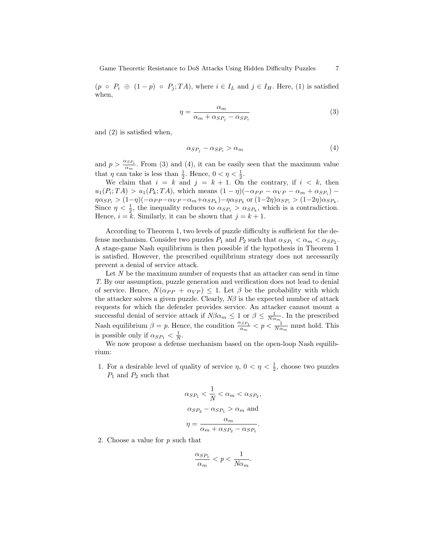$(p \circ P_i \oplus (1-p) \circ P_j; TA)$ , where  $i \in I_L$  and  $j \in I_H$ . Here, (1) is satisfied when,

$$
\eta = \frac{\alpha_m}{\alpha_m + \alpha_{SP_j} - \alpha_{SP_i}}\tag{3}
$$

and (2) is satisfied when,

$$
\alpha_{SP_j} - \alpha_{SP_i} > \alpha_m \tag{4}
$$

and  $p > \frac{\alpha_{SP_i}}{\alpha_m}$ . From (3) and (4), it can be easily seen that the maximum value that  $\eta$  can take is less than  $\frac{1}{2}$ . Hence,  $0 < \eta < \frac{1}{2}$ .

We claim that  $i = k$  and  $j = k + 1$ . On the contrary, if  $i < k$ , then  $u_1(P_i; TA) > u_1(P_k; TA)$ , which means  $(1 - \eta)(-\alpha_{PP} - \alpha_{VP} - \alpha_m + \alpha_{SP_i}) \eta \alpha_{SP_i} > (1 - \eta)(-\alpha_{PP} - \alpha_{VP} - \alpha_m + \alpha_{SP_k}) - \eta \alpha_{SP_k}$  or  $(1 - 2\eta)\alpha_{SP_i} > (1 - 2\eta)\alpha_{SP_k}$ . Since  $\eta < \frac{1}{2}$ , the inequality reduces to  $\alpha_{SP_i} > \alpha_{SP_k}$ , which is a contradiction. Hence,  $i = k$ . Similarly, it can be shown that  $j = k + 1$ .

According to Theorem 1, two levels of puzzle difficulty is sufficient for the defense mechanism. Consider two puzzles  $P_1$  and  $P_2$  such that  $\alpha_{SP_1} < \alpha_m < \alpha_{SP_2}$ . A stage-game Nash equilibrium is then possible if the hypothesis in Theorem 1 is satisfied. However, the prescribed equilibrium strategy does not necessarily prevent a denial of service attack.

Let  $N$  be the maximum number of requests that an attacker can send in time T. By our assumption, puzzle generation and verification does not lead to denial of service. Hence,  $N(\alpha_{PP} + \alpha_{VP}) \leq 1$ . Let  $\beta$  be the probability with which the attacker solves a given puzzle. Clearly,  $N\beta$  is the expected number of attack requests for which the defender provides service. An attacker cannot mount a successful denial of service attack if  $N\beta\alpha_m \leq 1$  or  $\beta \leq \frac{1}{N\alpha_m}$ . In the prescribed Nash equilibrium  $\beta = p$ . Hence, the condition  $\frac{\alpha_{SP_1}}{\alpha_m} < p < \frac{1}{N\alpha_m}$  must hold. This is possible only if  $\alpha_{SP_1} < \frac{1}{N}$ .

We now propose a defense mechanism based on the open-loop Nash equilibrium:

1. For a desirable level of quality of service  $\eta$ ,  $0 < \eta < \frac{1}{2}$ , choose two puzzles  $P_1$  and  $P_2$  such that

$$
\alpha_{SP_1} < \frac{1}{N} < \alpha_m < \alpha_{SP_2},
$$
\n
$$
\alpha_{SP_2} - \alpha_{SP_1} > \alpha_m \text{ and }
$$
\n
$$
\eta = \frac{\alpha_m}{\alpha_m + \alpha_{SP_2} - \alpha_{SP_1}}.
$$

2. Choose a value for p such that

$$
\frac{\alpha_{SP_1}}{\alpha_m} < p < \frac{1}{N\alpha_m}.
$$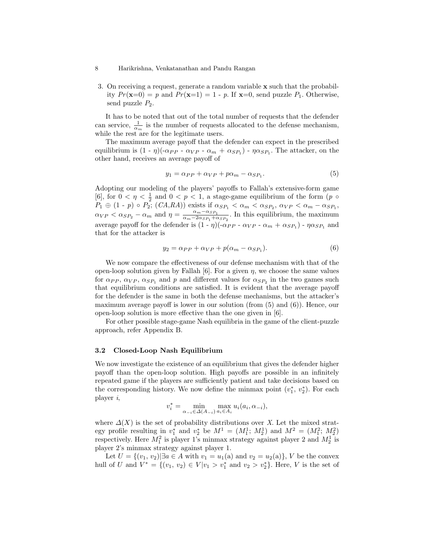3. On receiving a request, generate a random variable x such that the probability  $Pr(\mathbf{x}=0) = p$  and  $Pr(\mathbf{x}=1) = 1 - p$ . If  $\mathbf{x}=0$ , send puzzle  $P_1$ . Otherwise, send puzzle  $P_2$ .

It has to be noted that out of the total number of requests that the defender can service,  $\frac{1}{\alpha_m}$  is the number of requests allocated to the defense mechanism, while the rest are for the legitimate users.

The maximum average payoff that the defender can expect in the prescribed equilibrium is  $(1 - \eta)(-\alpha_{PP} - \alpha_{VP} - \alpha_m + \alpha_{SP_1}) - \eta \alpha_{SP_1}$ . The attacker, on the other hand, receives an average payoff of

$$
y_1 = \alpha_{PP} + \alpha_{VP} + p\alpha_m - \alpha_{SP_1}.\tag{5}
$$

Adopting our modeling of the players' payoffs to Fallah's extensive-form game [6], for  $0 < \eta < \frac{1}{2}$  and  $0 < p < 1$ , a stage-game equilibrium of the form  $(p \circ$  $P_1 \oplus (1-p) \circ P_2$ ;  $(CA, RA)$ ) exists if  $\alpha_{SP_1} < \alpha_m < \alpha_{SP_2}, \alpha_{VP} < \alpha_m - \alpha_{SP_1},$  $\alpha_{VP} < \alpha_{SP_2} - \alpha_m$  and  $\eta = \frac{\alpha_m - \alpha_{SP_1}}{\alpha_m - 2\alpha_{SP_1} + c_m}$  $\frac{\alpha_m - \alpha_{SP_1}}{\alpha_m - 2\alpha_{SP_1} + \alpha_{SP_2}}$ . In this equilibrium, the maximum average payoff for the defender is  $(1 - \eta)(-\alpha_{PP} - \alpha_{VP} - \alpha_m + \alpha_{SP_1}) - \eta \alpha_{SP_1}$  and that for the attacker is

$$
y_2 = \alpha_{PP} + \alpha_{VP} + p(\alpha_m - \alpha_{SP_1}).
$$
\n(6)

We now compare the effectiveness of our defense mechanism with that of the open-loop solution given by Fallah [6]. For a given  $\eta$ , we choose the same values for  $\alpha_{PP}$ ,  $\alpha_{VP}$ ,  $\alpha_{SP_1}$  and p and different values for  $\alpha_{SP_2}$  in the two games such that equilibrium conditions are satisfied. It is evident that the average payoff for the defender is the same in both the defense mechanisms, but the attacker's maximum average payoff is lower in our solution (from  $(5)$  and  $(6)$ ). Hence, our open-loop solution is more effective than the one given in [6].

For other possible stage-game Nash equilibria in the game of the client-puzzle approach, refer Appendix B.

#### 3.2 Closed-Loop Nash Equilibrium

We now investigate the existence of an equilibrium that gives the defender higher payoff than the open-loop solution. High payoffs are possible in an infinitely repeated game if the players are sufficiently patient and take decisions based on the corresponding history. We now define the minmax point  $(v_1^*, v_2^*)$ . For each player i,

$$
v_i^* = \min_{\alpha_{-i} \in \Delta(A_{-i})} \max_{a_i \in A_i} u_i(a_i, \alpha_{-i}),
$$

where  $\Delta(X)$  is the set of probability distributions over X. Let the mixed strategy profile resulting in  $v_1^*$  and  $v_2^*$  be  $M^1 = (M_1^1; M_2^1)$  and  $M^2 = (M_1^2; M_2^2)$ respectively. Here  $M_1^2$  is player 1's minmax strategy against player 2 and  $M_2^1$  is player 2's minmax strategy against player 1.

Let  $U = \{(v_1, v_2) | \exists a \in A \text{ with } v_1 = u_1(a) \text{ and } v_2 = u_2(a)\}, V \text{ be the convex}$ hull of U and  $V^* = \{(v_1, v_2) \in V | v_1 > v_1^* \text{ and } v_2 > v_2^* \}.$  Here, V is the set of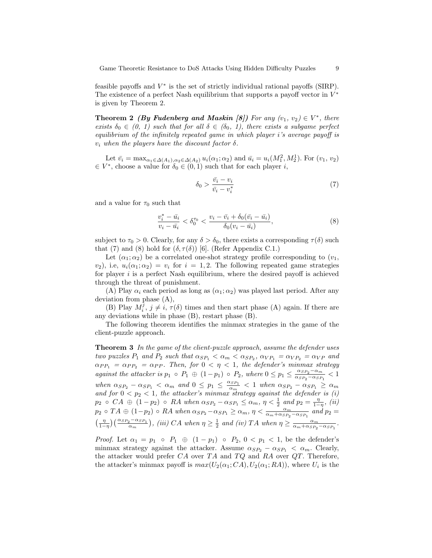Game Theoretic Resistance to DoS Attacks Using Hidden Difficulty Puzzles 9

feasible payoffs and  $V^*$  is the set of strictly individual rational payoffs (SIRP). The existence of a perfect Nash equilibrium that supports a payoff vector in  $V^*$ is given by Theorem 2.

**Theorem 2** (By Fudenberg and Maskin [8]) For any  $(v_1, v_2) \in V^*$ , there exists  $\delta_0 \in (0, 1)$  such that for all  $\delta \in (\delta_0, 1)$ , there exists a subgame perfect equilibrium of the infinitely repeated game in which player i's average payoff is  $v_i$  when the players have the discount factor  $\delta$ .

Let  $\bar{v}_i = \max_{\alpha_1 \in \Delta(A_1), \alpha_2 \in \Delta(A_2)} u_i(\alpha_1; \alpha_2)$  and  $\bar{u}_i = u_i(M_1^2, M_2^1)$ . For  $(v_1, v_2)$  $\in V^*$ , choose a value for  $\delta_0 \in (0,1)$  such that for each player *i*,

$$
\delta_0 > \frac{\bar{v}_i - v_i}{\bar{v}_i - v_i^*} \tag{7}
$$

and a value for  $\tau_0$  such that

$$
\frac{v_i^* - \bar{u}_i}{v_i - \bar{u}_i} < \delta_0^{\tau_0} < \frac{v_i - \bar{v}_i + \delta_0(\bar{v}_i - \bar{u}_i)}{\delta_0(v_i - \bar{u}_i)},\tag{8}
$$

subject to  $\tau_0 > 0$ . Clearly, for any  $\delta > \delta_0$ , there exists a corresponding  $\tau(\delta)$  such that (7) and (8) hold for  $(\delta, \tau(\delta))$  [6]. (Refer Appendix C.1.)

Let  $(\alpha_1; \alpha_2)$  be a correlated one-shot strategy profile corresponding to  $(v_1,$  $(v_2)$ , i.e,  $u_i(\alpha_1; \alpha_2) = v_i$  for  $i = 1, 2$ . The following repeated game strategies for player  $i$  is a perfect Nash equilibrium, where the desired payoff is achieved through the threat of punishment.

(A) Play  $\alpha_i$  each period as long as  $(\alpha_1; \alpha_2)$  was played last period. After any deviation from phase (A),

(B) Play  $M_i^{\tilde{j}}$ ,  $j \neq i$ ,  $\tau(\delta)$  times and then start phase (A) again. If there are any deviations while in phase (B), restart phase (B).

The following theorem identifies the minmax strategies in the game of the client-puzzle approach.

**Theorem 3** In the game of the client-puzzle approach, assume the defender uses two puzzles  $P_1$  and  $P_2$  such that  $\alpha_{SP_1} < \alpha_m < \alpha_{SP_2}, \alpha_{VP_1} = \alpha_{VP_2} = \alpha_{VP}$  and  $\alpha_{PP_1} = \alpha_{PP_2} = \alpha_{PP}$ . Then, for  $0 < \eta < 1$ , the defender's minmax strategy against the attacker is  $p_1 \circ P_1 \oplus (1-p_1) \circ P_2$ , where  $0 \leq p_1 \leq \frac{\alpha_{SP_2} - \alpha_m}{\alpha_{SP_2} - \alpha_{SP_2}}$  $\frac{\alpha_{SP_2}-\alpha_m}{\alpha_{SP_2}-\alpha_{SP_1}} < 1$ when  $\alpha_{SP_2} - \alpha_{SP_1} < \alpha_m$  and  $0 \leq p_1 \leq \frac{\alpha_{SP_1}}{\alpha_m} < 1$  when  $\alpha_{SP_2} - \alpha_{SP_1} \geq \alpha_m$ and for  $0 < p_2 < 1$ , the attacker's minmax strategy against the defender is (i)  $p_2 \circ CA \oplus (1-p_2) \circ RA$  when  $\alpha_{SP_2} - \alpha_{SP_1} \leq \alpha_m$ ,  $\eta < \frac{1}{2}$  and  $p_2 = \frac{\eta}{1-\eta}$ , (ii)  $p_2 \circ TA \oplus (1-p_2) \circ RA$  when  $\alpha_{SP_2} - \alpha_{SP_1} \ge \alpha_m$ ,  $\eta < \frac{\alpha_m}{\alpha_m + \alpha_{SP_2} - \alpha_{SP_1}}$  and  $p_2 =$  $\left(\frac{\eta}{1-\eta}\right)\left(\frac{\alpha_{SP_2}-\alpha_{SP_1}}{\alpha_m}\right)$ , (iii) CA when  $\eta \geq \frac{1}{2}$  and (iv) TA when  $\eta \geq \frac{\alpha_m}{\alpha_m+\alpha_{SP_2}-\alpha_{SP_1}}$ .

*Proof.* Let  $\alpha_1 = p_1 \circ P_1 \oplus (1 - p_1) \circ P_2$ ,  $0 < p_1 < 1$ , be the defender's minmax strategy against the attacker. Assume  $\alpha_{SP_2} - \alpha_{SP_1} < \alpha_m$ . Clearly, the attacker would prefer  $CA$  over  $TA$  and  $TQ$  and  $RA$  over  $QT$ . Therefore, the attacker's minmax payoff is  $max(U_2(\alpha_1; CA), U_2(\alpha_1; RA))$ , where  $U_i$  is the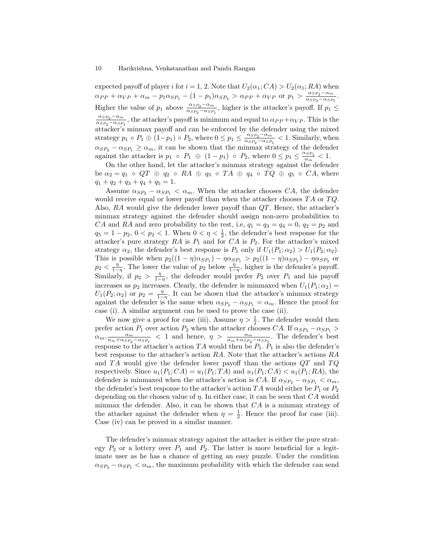expected payoff of player i for  $i = 1, 2$ . Note that  $U_2(\alpha_1; CA) > U_2(\alpha_1; RA)$  when  $\alpha_{PP} + \alpha_{VP} + \alpha_m - p_1 \alpha_{SP_1} - (1 - p_1) \alpha_{SP_2} > \alpha_{PP} + \alpha_{VP}$  or  $p_1 > \frac{\alpha_{SP_2} - \alpha_m}{\alpha_{SP_2} - \alpha_{SP_2}}$  $\frac{\alpha_{SP_2}-\alpha_m}{\alpha_{SP_2}-\alpha_{SP_1}}$ . Higher the value of  $p_1$  above  $\frac{\alpha_{SP_2}-\alpha_m}{\alpha_{SP_2}-\alpha_{SP_1}}$ , higher is the attacker's payoff. If  $p_1 \leq$  $\alpha_{SP_2}-\alpha_m$  $\frac{\alpha_{SP_2}-\alpha_m}{\alpha_{SP_2}-\alpha_{SP_1}}$ , the attacker's payoff is minimum and equal to  $\alpha_{PP}+\alpha_{VP}$ . This is the attacker's minmax payoff and can be enforced by the defender using the mixed strategy  $p_1 \circ P_1 \oplus (1-p_1) \circ P_2$ , where  $0 \leq p_1 \leq \frac{\alpha_{SP_2} - \alpha_m}{\alpha_{SP_2} - \alpha_{SP_2}}$  $\frac{\alpha_{SP_2}-\alpha_m}{\alpha_{SP_2}-\alpha_{SP_1}} < 1$ . Similarly, when  $\alpha_{SP_2} - \alpha_{SP_1} \ge \alpha_m$ , it can be shown that the minmax strategy of the defender against the attacker is  $p_1 \circ P_1 \oplus (1-p_1) \circ P_2$ , where  $0 \leq p_1 \leq \frac{\alpha_{SP_1}}{\alpha_m} < 1$ .

On the other hand, let the attacker's minmax strategy against the defender be  $\alpha_2 = q_1 \circ QT \oplus q_2 \circ RA \oplus q_3 \circ TA \oplus q_4 \circ TQ \oplus q_5 \circ CA$ , where  $q_1 + q_2 + q_3 + q_4 + q_5 = 1.$ 

Assume  $\alpha_{SP_2} - \alpha_{SP_1} < \alpha_m$ . When the attacker chooses CA, the defender would receive equal or lower payoff than when the attacker chooses  $TA$  or  $TQ$ . Also,  $RA$  would give the defender lower payoff than  $QT$ . Hence, the attacker's minmax strategy against the defender should assign non-zero probabilities to CA and RA and zero probability to the rest, i.e,  $q_1 = q_3 = q_4 = 0$ ,  $q_2 = p_2$  and  $q_5 = 1 - p_2, 0 < p_2 < 1$ . When  $0 < \eta < \frac{1}{2}$ , the defender's best response for the attacker's pure strategy  $RA$  is  $P_1$  and for  $CA$  is  $P_2$ . For the attacker's mixed strategy  $\alpha_2$ , the defender's best response is  $P_1$  only if  $U_1(P_1; \alpha_2) > U_1(P_2; \alpha_2)$ . This is possible when  $p_2((1 - \eta)\alpha_{SP_1}) - \eta\alpha_{SP_1} > p_2((1 - \eta)\alpha_{SP_2}) - \eta\alpha_{SP_2}$  or  $p_2 < \frac{\eta}{1-\eta}$ . The lower the value of  $p_2$  below  $\frac{\eta}{1-\eta}$ , higher is the defender's payoff. Similarly, if  $p_2 > \frac{\eta}{1-\eta}$ , the defender would prefer  $P_2$  over  $P_1$  and his payoff increases as  $p_2$  increases. Clearly, the defender is minmaxed when  $U_1(P_1; \alpha_2)$  $U_1(P_2; \alpha_2)$  or  $p_2 = \frac{\eta}{1-\eta}$ . It can be shown that the attacker's minmax strategy against the defender is the same when  $\alpha_{SP_2} - \alpha_{SP_1} = \alpha_m$ . Hence the proof for case (i). A similar argument can be used to prove the case (ii).

We now give a proof for case (iii). Assume  $\eta > \frac{1}{2}$ . The defender would then prefer action  $P_1$  over action  $P_2$  when the attacker chooses CA. If  $\alpha_{SP_2} - \alpha_{SP_1} >$  $\alpha_m, \frac{\alpha_m}{\alpha_m + \alpha_{SP_2} - \alpha_{SP_1}}$  < 1 and hence,  $\eta > \frac{\alpha_m}{\alpha_m + \alpha_{SP_2} - \alpha_{SP_1}}$ . The defender's best response to the attacker's action  $TA$  would then be  $P_1$ .  $P_1$  is also the defender's best response to the attacker's action RA. Note that the attacker's actions RA and  $TA$  would give the defender lower payoff than the actions  $QT$  and  $TQ$ respectively. Since  $u_1(P_1; CA) = u_1(P_1; TA)$  and  $u_1(P_1; CA) < u_1(P_1; RA)$ , the defender is minmaxed when the attacker's action is CA. If  $\alpha_{SP_2} - \alpha_{SP_1} < \alpha_m$ , the defender's best response to the attacker's action TA would either be  $P_1$  or  $P_2$ depending on the chosen value of  $\eta$ . In either case, it can be seen that  $CA$  would minmax the defender. Also, it can be shown that  $CA$  is a minmax strategy of the attacker against the defender when  $\eta = \frac{1}{2}$ . Hence the proof for case (iii). Case (iv) can be proved in a similar manner.

The defender's minmax strategy against the attacker is either the pure strategy  $P_2$  or a lottery over  $P_1$  and  $P_2$ . The latter is more beneficial for a legitimate user as he has a chance of getting an easy puzzle. Under the condition  $\alpha_{SP_2} - \alpha_{SP_1} < \alpha_m$ , the maximum probability with which the defender can send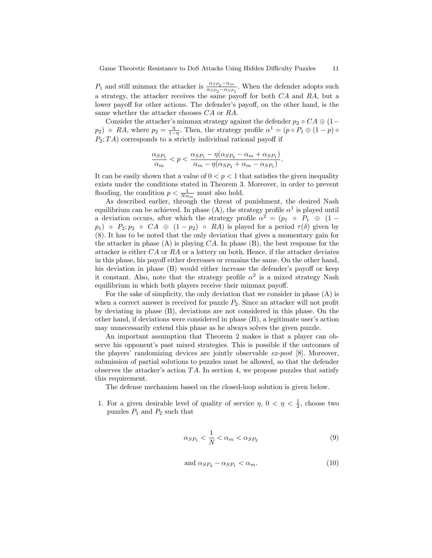P<sub>1</sub> and still minmax the attacker is  $\frac{\alpha_{SP_2} - \alpha_m}{\alpha_{SP_2} - \alpha_{SP_1}}$ . When the defender adopts such a strategy, the attacker receives the same payoff for both CA and RA, but a lower payoff for other actions. The defender's payoff, on the other hand, is the same whether the attacker chooses  $CA$  or  $RA$ .

Consider the attacker's minmax strategy against the defender  $p_2 \circ CA \oplus (1-\alpha)$  $p_2$ )  $\circ$  RA, where  $p_2 = \frac{\eta}{1-\eta}$ . Then, the strategy profile  $\alpha^1 = (p \circ P_1 \oplus (1-p) \circ P_2)$  $P_2$ ;  $TA$ ) corresponds to a strictly individual rational payoff if

$$
\frac{\alpha_{SP_1}}{\alpha_m} < p < \frac{\alpha_{SP_1} - \eta(\alpha_{SP_2} - \alpha_m + \alpha_{SP_1})}{\alpha_m - \eta(\alpha_{SP_2} + \alpha_m - \alpha_{SP_1})}.
$$

It can be easily shown that a value of  $0 < p < 1$  that satisfies the given inequality exists under the conditions stated in Theorem 3. Moreover, in order to prevent flooding, the condition  $p < \frac{1}{N\alpha_m}$  must also hold.

As described earlier, through the threat of punishment, the desired Nash equilibrium can be achieved. In phase (A), the strategy profile  $\alpha^1$  is played until a deviation occurs, after which the strategy profile  $\alpha^2 = (p_1 \circ P_1 \oplus (1-\alpha))^2$  $p_1$ ) ∘  $P_2$ ;  $p_2$  ∘  $CA \oplus (1-p_2)$  ∘  $RA$ ) is played for a period  $\tau(\delta)$  given by (8). It has to be noted that the only deviation that gives a momentary gain for the attacker in phase  $(A)$  is playing  $CA$ . In phase  $(B)$ , the best response for the attacker is either CA or RA or a lottery on both. Hence, if the attacker deviates in this phase, his payoff either decreases or remains the same. On the other hand, his deviation in phase (B) would either increase the defender's payoff or keep it constant. Also, note that the strategy profile  $\alpha^2$  is a mixed strategy Nash equilibrium in which both players receive their minmax payoff.

For the sake of simplicity, the only deviation that we consider in phase (A) is when a correct answer is received for puzzle  $P_2$ . Since an attacker will not profit by deviating in phase (B), deviations are not considered in this phase. On the other hand, if deviations were considered in phase (B), a legitimate user's action may unnecessarily extend this phase as he always solves the given puzzle.

An important assumption that Theorem 2 makes is that a player can observe his opponent's past mixed strategies. This is possible if the outcomes of the players' randomizing devices are jointly observable  $ex\text{-}post$  [8]. Moreover, submission of partial solutions to puzzles must be allowed, so that the defender observes the attacker's action  $TA$ . In section 4, we propose puzzles that satisfy this requirement.

The defense mechanism based on the closed-loop solution is given below.

1. For a given desirable level of quality of service  $\eta$ ,  $0 < \eta < \frac{1}{2}$ , choose two puzzles  $P_1$  and  $P_2$  such that

$$
\alpha_{SP_1} < \frac{1}{N} < \alpha_m < \alpha_{SP_2} \tag{9}
$$

and 
$$
\alpha_{SP_2} - \alpha_{SP_1} < \alpha_m
$$
. (10)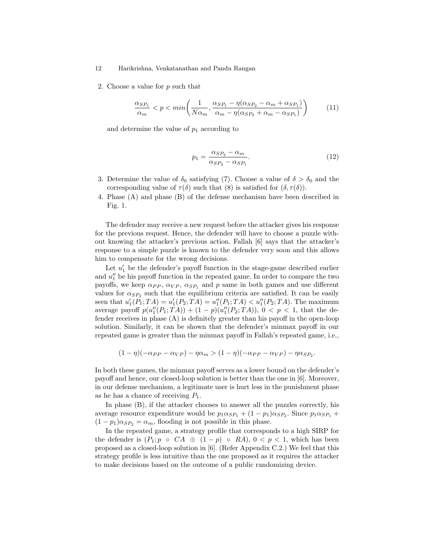2. Choose a value for p such that

$$
\frac{\alpha_{SP_1}}{\alpha_m} < p < \min\left(\frac{1}{N\alpha_m}, \frac{\alpha_{SP_1} - \eta(\alpha_{SP_2} - \alpha_m + \alpha_{SP_1})}{\alpha_m - \eta(\alpha_{SP_2} + \alpha_m - \alpha_{SP_1})}\right) \tag{11}
$$

and determine the value of  $p_1$  according to

$$
p_1 = \frac{\alpha_{SP_2} - \alpha_m}{\alpha_{SP_2} - \alpha_{SP_1}}.\tag{12}
$$

- 3. Determine the value of  $\delta_0$  satisfying (7). Choose a value of  $\delta > \delta_0$  and the corresponding value of  $\tau(\delta)$  such that (8) is satisfied for  $(\delta, \tau(\delta))$ .
- 4. Phase (A) and phase (B) of the defense mechanism have been described in Fig. 1.

The defender may receive a new request before the attacker gives his response for the previous request. Hence, the defender will have to choose a puzzle without knowing the attacker's previous action. Fallah [6] says that the attacker's response to a simple puzzle is known to the defender very soon and this allows him to compensate for the wrong decisions.

Let  $u'_1$  be the defender's payoff function in the stage-game described earlier and  $u''_1$  be his payoff function in the repeated game. In order to compare the two payoffs, we keep  $\alpha_{PP}$ ,  $\alpha_{VP}$ ,  $\alpha_{SP_1}$  and p same in both games and use different values for  $\alpha_{SP_2}$  such that the equilibrium criteria are satisfied. It can be easily seen that  $u'_1(P_1; TA) = u'_1(P_2; TA) = u''_1(P_1; TA) < u''_1(P_2; TA)$ . The maximum average payoff  $p(u''_1(P_1; TA)) + (1-p)(u''_1(P_2; TA))$ ,  $0 < p < 1$ , that the defender receives in phase (A) is definitely greater than his payoff in the open-loop solution. Similarly, it can be shown that the defender's minmax payoff in our repeated game is greater than the minmax payoff in Fallah's repeated game, i.e.,

$$
(1 - \eta)(-\alpha_{PP} - \alpha_{VP}) - \eta \alpha_m > (1 - \eta)(-\alpha_{PP} - \alpha_{VP}) - \eta \alpha_{SP_2}.
$$

In both these games, the minmax payoff serves as a lower bound on the defender's payoff and hence, our closed-loop solution is better than the one in [6]. Moreover, in our defense mechanism, a legitimate user is hurt less in the punishment phase as he has a chance of receiving  $P_1$ .

In phase  $(B)$ , if the attacker chooses to answer all the puzzles correctly, his average resource expenditure would be  $p_1 \alpha_{SP_1} + (1 - p_1) \alpha_{SP_2}$ . Since  $p_1 \alpha_{SP_1} +$  $(1 - p_1)\alpha_{SP_2} = \alpha_m$ , flooding is not possible in this phase.

In the repeated game, a strategy profile that corresponds to a high SIRP for the defender is  $(P_1; p \circ CA \oplus (1-p) \circ RA)$ ,  $0 < p < 1$ , which has been proposed as a closed-loop solution in [6]. (Refer Appendix C.2.) We feel that this strategy profile is less intuitive than the one proposed as it requires the attacker to make decisions based on the outcome of a public randomizing device.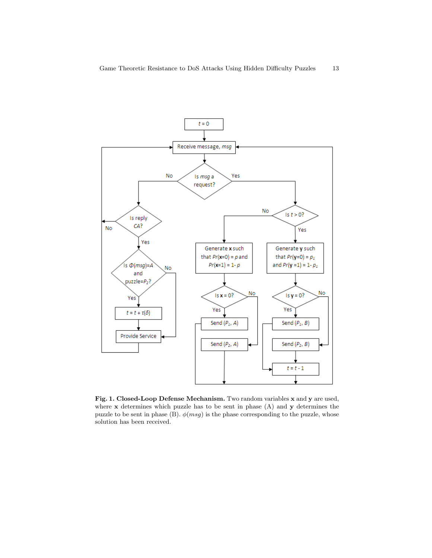

Fig. 1. Closed-Loop Defense Mechanism. Two random variables x and y are used, where x determines which puzzle has to be sent in phase (A) and y determines the puzzle to be sent in phase (B).  $\phi(msg)$  is the phase corresponding to the puzzle, whose solution has been received.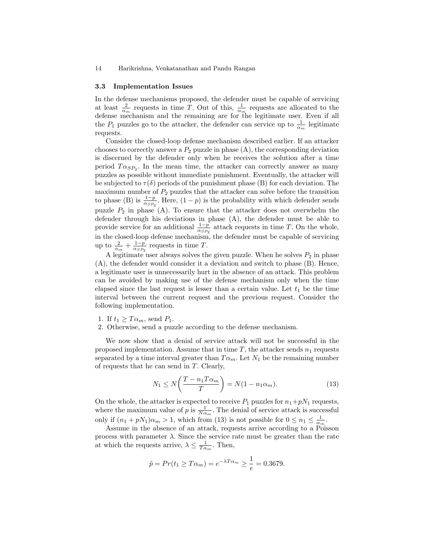#### 3.3 Implementation Issues

In the defense mechanisms proposed, the defender must be capable of servicing at least  $\frac{2}{\alpha_m}$  requests in time T. Out of this,  $\frac{1}{\alpha_m}$  requests are allocated to the defense mechanism and the remaining are for the legitimate user. Even if all the  $P_1$  puzzles go to the attacker, the defender can service up to  $\frac{1}{\alpha_m}$  legitimate requests.

Consider the closed-loop defense mechanism described earlier. If an attacker chooses to correctly answer a  $P_2$  puzzle in phase  $(A)$ , the corresponding deviation is discerned by the defender only when he receives the solution after a time period  $T\alpha_{SP_2}$ . In the mean time, the attacker can correctly answer as many puzzles as possible without immediate punishment. Eventually, the attacker will be subjected to  $\tau(\delta)$  periods of the punishment phase (B) for each deviation. The maximum number of  $P_2$  puzzles that the attacker can solve before the transition to phase (B) is  $\frac{1-p}{\alpha_{SP_2}}$ . Here,  $(1-p)$  is the probability with which defender sends puzzle  $P_2$  in phase (A). To ensure that the attacker does not overwhelm the defender through his deviations in phase (A), the defender must be able to provide service for an additional  $\frac{1-p}{\alpha_{SP_2}}$  attack requests in time T. On the whole, in the closed-loop defense mechanism, the defender must be capable of servicing up to  $\frac{2}{\alpha_m} + \frac{1-p}{\alpha_{SP_2}}$  requests in time T.

A legitimate user always solves the given puzzle. When he solves  $P_2$  in phase (A), the defender would consider it a deviation and switch to phase (B). Hence, a legitimate user is unnecessarily hurt in the absence of an attack. This problem can be avoided by making use of the defense mechanism only when the time elapsed since the last request is lesser than a certain value. Let  $t_1$  be the time interval between the current request and the previous request. Consider the following implementation.

- 1. If  $t_1 \geq T\alpha_m$ , send  $P_1$ .
- 2. Otherwise, send a puzzle according to the defense mechanism.

We now show that a denial of service attack will not be successful in the proposed implementation. Assume that in time  $T$ , the attacker sends  $n_1$  requests separated by a time interval greater than  $T\alpha_m$ . Let  $N_1$  be the remaining number of requests that he can send in T. Clearly,

$$
N_1 \le N\left(\frac{T - n_1 T \alpha_m}{T}\right) = N(1 - n_1 \alpha_m). \tag{13}
$$

On the whole, the attacker is expected to receive  $P_1$  puzzles for  $n_1+pN_1$  requests, where the maximum value of p is  $\frac{1}{N\alpha_m}$ . The denial of service attack is successful only if  $(n_1 + pN_1)\alpha_m > 1$ , which from (13) is not possible for  $0 \le n_1 \le \frac{1}{\alpha_m}$ .

Assume in the absence of an attack, requests arrive according to a Poisson process with parameter  $\lambda$ . Since the service rate must be greater than the rate at which the requests arrive,  $\lambda \leq \frac{1}{T\alpha_m}$ . Then,

$$
\tilde{p} = Pr(t_1 \geq T\alpha_m) = e^{-\lambda T\alpha_m} \geq \frac{1}{e} = 0.3679.
$$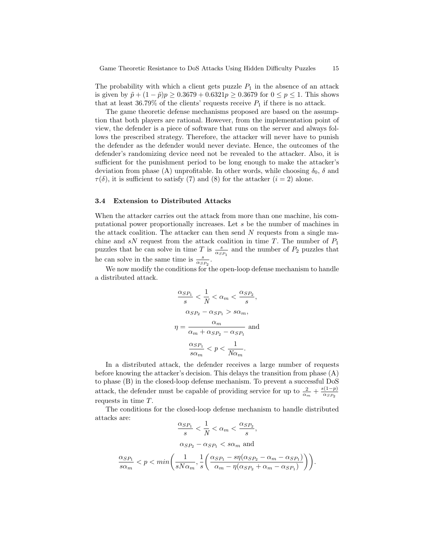The probability with which a client gets puzzle  $P_1$  in the absence of an attack is given by  $\tilde{p} + (1 - \tilde{p})p \ge 0.3679 + 0.6321p \ge 0.3679$  for  $0 \le p \le 1$ . This shows that at least 36.79% of the clients' requests receive  $P_1$  if there is no attack.

The game theoretic defense mechanisms proposed are based on the assumption that both players are rational. However, from the implementation point of view, the defender is a piece of software that runs on the server and always follows the prescribed strategy. Therefore, the attacker will never have to punish the defender as the defender would never deviate. Hence, the outcomes of the defender's randomizing device need not be revealed to the attacker. Also, it is sufficient for the punishment period to be long enough to make the attacker's deviation from phase (A) unprofitable. In other words, while choosing  $\delta_0$ ,  $\delta$  and  $\tau(\delta)$ , it is sufficient to satisfy (7) and (8) for the attacker  $(i = 2)$  alone.

#### 3.4 Extension to Distributed Attacks

When the attacker carries out the attack from more than one machine, his computational power proportionally increases. Let s be the number of machines in the attack coalition. The attacker can then send  $N$  requests from a single machine and sN request from the attack coalition in time T. The number of  $P_1$ puzzles that he can solve in time T is  $\frac{s}{\alpha_{SP_1}}$  and the number of  $P_2$  puzzles that he can solve in the same time is  $\frac{s}{\alpha_{SP_2}}$ .

We now modify the conditions for the open-loop defense mechanism to handle a distributed attack.

$$
\frac{\alpha_{SP_1}}{s} < \frac{1}{N} < \alpha_m < \frac{\alpha_{SP_2}}{s},
$$
  

$$
\alpha_{SP_2} - \alpha_{SP_1} > s\alpha_m,
$$
  

$$
\eta = \frac{\alpha_m}{\alpha_m + \alpha_{SP_2} - \alpha_{SP_1}}
$$
 and  

$$
\frac{\alpha_{SP_1}}{s\alpha_m} < p < \frac{1}{N\alpha_m}.
$$

In a distributed attack, the defender receives a large number of requests before knowing the attacker's decision. This delays the transition from phase (A) to phase (B) in the closed-loop defense mechanism. To prevent a successful DoS attack, the defender must be capable of providing service for up to  $\frac{2}{\alpha_m} + \frac{s(1-p)}{\alpha_{SP_2}}$  $\alpha_{SP_2}$ requests in time T.

The conditions for the closed-loop defense mechanism to handle distributed attacks are:

$$
\label{eq:10} \begin{split} \frac{\alpha_{SP_1}}{s}<\frac{1}{N}<\alpha_m<\frac{\alpha_{SP_2}}{s},\\ \alpha_{SP_2}-\alpha_{SP_1}< s\alpha_m \text{ and}\\ \frac{\alpha_{SP_1}}{s\alpha_m}
$$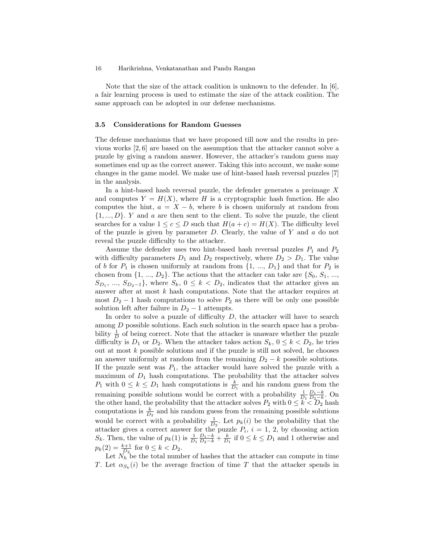Note that the size of the attack coalition is unknown to the defender. In [6], a fair learning process is used to estimate the size of the attack coalition. The same approach can be adopted in our defense mechanisms.

### 3.5 Considerations for Random Guesses

The defense mechanisms that we have proposed till now and the results in previous works [2, 6] are based on the assumption that the attacker cannot solve a puzzle by giving a random answer. However, the attacker's random guess may sometimes end up as the correct answer. Taking this into account, we make some changes in the game model. We make use of hint-based hash reversal puzzles [7] in the analysis.

In a hint-based hash reversal puzzle, the defender generates a preimage  $X$ and computes  $Y = H(X)$ , where H is a cryptographic hash function. He also computes the hint,  $a = X - b$ , where b is chosen uniformly at random from  $\{1, ..., D\}$ . Y and a are then sent to the client. To solve the puzzle, the client searches for a value  $1 \leq c \leq D$  such that  $H(a + c) = H(X)$ . The difficulty level of the puzzle is given by parameter  $D$ . Clearly, the value of Y and  $\alpha$  do not reveal the puzzle difficulty to the attacker.

Assume the defender uses two hint-based hash reversal puzzles  $P_1$  and  $P_2$ with difficulty parameters  $D_1$  and  $D_2$  respectively, where  $D_2 > D_1$ . The value of b for  $P_1$  is chosen uniformly at random from  $\{1, ..., D_1\}$  and that for  $P_2$  is chosen from  $\{1, ..., D_2\}$ . The actions that the attacker can take are  $\{S_0, S_1, ...,$  $S_{D_1}, \ldots, S_{D_2-1}$ , where  $S_k, 0 \leq k < D_2$ , indicates that the attacker gives an answer after at most  $k$  hash computations. Note that the attacker requires at most  $D_2 - 1$  hash computations to solve  $P_2$  as there will be only one possible solution left after failure in  $D_2 - 1$  attempts.

In order to solve a puzzle of difficulty  $D$ , the attacker will have to search among D possible solutions. Each such solution in the search space has a probability  $\frac{1}{D}$  of being correct. Note that the attacker is unaware whether the puzzle difficulty is  $D_1$  or  $D_2$ . When the attacker takes action  $S_k$ ,  $0 \leq k \leq D_2$ , he tries out at most  $k$  possible solutions and if the puzzle is still not solved, he chooses an answer uniformly at random from the remaining  $D_2 - k$  possible solutions. If the puzzle sent was  $P_1$ , the attacker would have solved the puzzle with a maximum of  $D_1$  hash computations. The probability that the attacker solves  $P_1$  with  $0 \leq k \leq D_1$  hash computations is  $\frac{k}{D_1}$  and his random guess from the remaining possible solutions would be correct with a probability  $\frac{1}{D_1} \frac{D_1 - k}{D_2 - k}$ . On the other hand, the probability that the attacker solves  $P_2$  with  $0 \leq k < D_2$  hash computations is  $\frac{k}{D_2}$  and his random guess from the remaining possible solutions would be correct with a probability  $\frac{1}{D_2}$ . Let  $p_k(i)$  be the probability that the attacker gives a correct answer for the puzzle  $P_i$ ,  $i = 1, 2$ , by choosing action  $S_k$ . Then, the value of  $p_k(1)$  is  $\frac{1}{D_1} \frac{D_1 - k}{D_2 - k} + \frac{k}{D_1}$  if  $0 \le k \le D_1$  and 1 otherwise and  $p_k(2) = \frac{k+1}{D_2}$  for  $0 \le k < D_2$ .

Let  $N_h$  be the total number of hashes that the attacker can compute in time T. Let  $\alpha_{S_k}(i)$  be the average fraction of time T that the attacker spends in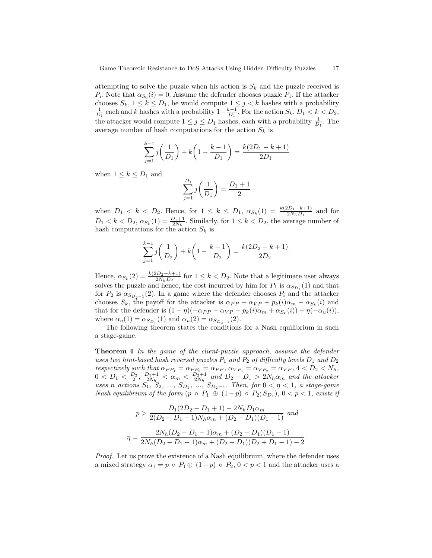attempting to solve the puzzle when his action is  $S_k$  and the puzzle received is  $P_i$ . Note that  $\alpha_{S_0}(i) = 0$ . Assume the defender chooses puzzle  $P_1$ . If the attacker chooses  $S_k$ ,  $1 \le k \le D_1$ , he would compute  $1 \le j < k$  hashes with a probability  $\frac{1}{D_1}$  each and k hashes with a probability  $1-\frac{k-1}{D_1}$ . For the action  $S_k$ ,  $D_1 < k < D_2$ , the attacker would compute  $1 \leq j \leq D_1$  hashes, each with a probability  $\frac{1}{D_1}$ . The average number of hash computations for the action  $S_k$  is

$$
\sum_{j=1}^{k-1} j\left(\frac{1}{D_1}\right) + k\left(1 - \frac{k-1}{D_1}\right) = \frac{k(2D_1 - k + 1)}{2D_1}
$$

when  $1 \leq k \leq D_1$  and

$$
\sum_{j=1}^{D_1} j\left(\frac{1}{D_1}\right) = \frac{D_1 + 1}{2}
$$

when  $D_1 < k < D_2$ . Hence, for  $1 \leq k \leq D_1$ ,  $\alpha_{S_k}(1) = \frac{k(2D_1 - k + 1)}{2N_h D_1}$  and for  $D_1 < k < D_2$ ,  $\alpha_{S_k}(1) = \frac{D_1+1}{2N_h}$ . Similarly, for  $1 \le k < D_2$ , the average number of hash computations for the action  $S_k$  is

$$
\sum_{j=1}^{k-1} j\left(\frac{1}{D_2}\right) + k\left(1 - \frac{k-1}{D_2}\right) = \frac{k(2D_2 - k + 1)}{2D_2}.
$$

Hence,  $\alpha_{S_k}(2) = \frac{k(2D_2 - k + 1)}{2N_h D_2}$  for  $1 \le k < D_2$ . Note that a legitimate user always solves the puzzle and hence, the cost incurred by him for  $P_1$  is  $\alpha_{S_{D_1}}(1)$  and that for  $P_2$  is  $\alpha_{S_{D_2-1}}(2)$ . In a game where the defender chooses  $P_i$  and the attacker chooses  $S_k$ , the payoff for the attacker is  $\alpha_{PP} + \alpha_{VP} + p_k(i)\alpha_m - \alpha_{S_k}(i)$  and that for the defender is  $(1 - \eta)(-\alpha_{PP} - \alpha_{VP} - p_k(i)\alpha_m + \alpha_{S_k}(i)) + \eta(-\alpha_u(i)),$ where  $\alpha_u(1) = \alpha_{S_{D_1}}(1)$  and  $\alpha_u(2) = \alpha_{S_{D_2-1}}(2)$ .

The following theorem states the conditions for a Nash equilibrium in such a stage-game.

**Theorem 4** In the game of the client-puzzle approach, assume the defender uses two hint-based hash reversal puzzles  $P_1$  and  $P_2$  of difficulty levels  $D_1$  and  $D_2$ respectively such that  $\alpha_{PP_1} = \alpha_{PP_2} = \alpha_{PP}$ ,  $\alpha_{VP_1} = \alpha_{VP_2} = \alpha_{VP}$ ,  $4 < D_2 < N_h$ ,  $0 < D_1 < \frac{D_2}{2}, \frac{D_1+1}{2N_h} < \alpha_m < \frac{D_2+1}{2N_h}$  and  $D_2 - D_1 > 2N_h\alpha_m$  and the attacker uses n actions  $S_1$ ,  $S_2$ , ...,  $S_{D_1}$ , ...,  $S_{D_2-1}$ . Then, for  $0 < \eta < 1$ , a stage-game Nash equilibrium of the form  $(p \circ P_1 \oplus (1-p) \circ P_2; S_{D_1}), 0 < p < 1$ , exists if

$$
p > \frac{D_1(2D_2 - D_1 + 1) - 2N_h D_1 \alpha_m}{2(D_2 - D_1 - 1)N_h \alpha_m + (D_2 - D_1)(D_1 - 1)}
$$
 and  

$$
\eta = \frac{2N_h(D_2 - D_1 - 1)\alpha_m + (D_2 - D_1)(D_1 - 1)}{2N_h(D_2 - D_1 - 1)\alpha_m + (D_2 - D_1)(D_2 + D_1 - 1) - 2}.
$$

Proof. Let us prove the existence of a Nash equilibrium, where the defender uses a mixed strategy  $\alpha_1 = p \circ P_1 \oplus (1-p) \circ P_2$ ,  $0 < p < 1$  and the attacker uses a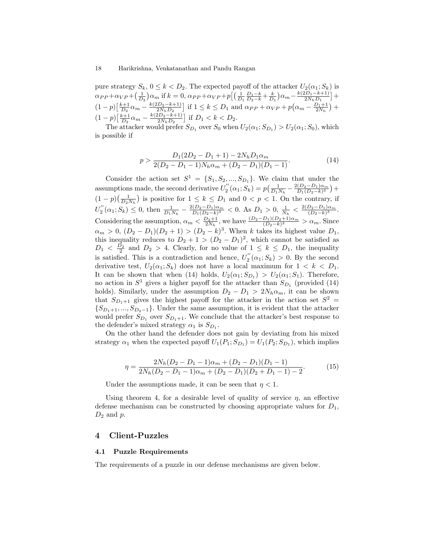pure strategy  $S_k$ ,  $0 \le k < D_2$ . The expected payoff of the attacker  $U_2(\alpha_1; S_k)$  is  $\alpha_{PP} + \alpha_{VP} + \left(\frac{1}{D_2}\right)\alpha_m$  if  $k = 0$ ,  $\alpha_{PP} + \alpha_{VP} + p\left[\left(\frac{1}{D_1}\frac{D_1 - k}{D_2 - k} + \frac{k}{D_1}\right)\alpha_m - \frac{k(2D_1 - k + 1)}{2N_h D_1}\right]$  $\frac{2D_1-k+1}{2N_hD_1}\Big]+$  $(1-p)\left[\frac{k+1}{D_2}\alpha_m - \frac{k(2D_2-k+1)}{2N_hD_2}\right]$  $\frac{2D_2-k+1}{2N_h D_2}$  if  $1 \le k \le D_1$  and  $\alpha_{PP} + \alpha_{VP} + p(\alpha_m - \frac{D_1+1}{2N_h}) +$  $(1-p)\left[\frac{k+1}{D_2}\alpha_m - \frac{k(2D_2-k+1)}{2N_hD_2}\right]$  $\frac{2D_2-k+1}{2N_hD_2}$  if  $D_1 < k < D_2$ .

The attacker would prefer  $S_{D_1}$  over  $S_0$  when  $U_2(\alpha_1; S_{D_1}) > U_2(\alpha_1; S_0)$ , which is possible if

$$
p > \frac{D_1(2D_2 - D_1 + 1) - 2N_h D_1 \alpha_m}{2(D_2 - D_1 - 1)N_h \alpha_m + (D_2 - D_1)(D_1 - 1)}.
$$
\n(14)

Consider the action set  $S^1 = \{S_1, S_2, ..., S_{D_1}\}\.$  We claim that under the assumptions made, the second derivative  $U''_2(\alpha_1; S_k) = p\left(\frac{1}{D_1 N_h} - \frac{2(D_2 - D_1)\alpha_m}{D_1 (D_2 - k)^3}\right)$  $\frac{(D_2-D_1)\alpha_m}{D_1(D_2-k)^3}$  +  $(1-p)(\frac{1}{D_2N_k})$  is positive for  $1 \leq k \leq D_1$  and  $0 < p < 1$ . On the contrary, if  $D_2N_h$  $U''_2(\alpha_1; S_k) \leq 0$ , then  $\frac{1}{D_1 N_h} - \frac{2(D_2 - D_1)\alpha_m}{D_1(D_2 - k)^3}$  $\frac{(D_2-D_1)\alpha_m}{D_1(D_2-k)^3}$  < 0. As  $D_1 > 0$ ,  $\frac{1}{N_h} < \frac{2(D_2-D_1)\alpha_m}{(D_2-k)^3}$  $\frac{D_2-D_1)\alpha_m}{(D_2-k)^3}$ . Considering the assumption,  $\alpha_m < \frac{D_2+1}{2N_h}$ , we have  $\frac{(D_2-D_1)(D_2+1)\alpha_m}{(D_2-k)^3} > \alpha_m$ . Since  $\alpha_m > 0$ ,  $(D_2 - D_1)(D_2 + 1) > (D_2 - k)^3$ . When k takes its highest value  $D_1$ , this inequality reduces to  $D_2 + 1 > (D_2 - D_1)^2$ , which cannot be satisfied as  $D_1 < D_2$  and  $D_2 > 4$ . Clearly, for no value of  $1 \leq k \leq D_1$ , the inequality  $D_1 < \frac{D_2}{2}$  and  $D_2 > 4$ . Clearly, for no value of  $1 \leq k \leq D_1$ , the inequality is satisfied. This is a contradiction and hence,  $U_2^{''}(\alpha_1; S_k) > 0$ . By the second derivative test,  $U_2(\alpha_1; S_k)$  does not have a local maximum for  $1 < k < D_1$ . It can be shown that when (14) holds,  $U_2(\alpha_1; S_{D_1}) > U_2(\alpha_1; S_1)$ . Therefore, no action in  $S^1$  gives a higher payoff for the attacker than  $S_{D_1}$  (provided (14) holds). Similarly, under the assumption  $D_2 - D_1 > 2N_h \alpha_m$ , it can be shown that  $S_{D_1+1}$  gives the highest payoff for the attacker in the action set  $S^2$  =  ${S_{D_1+1},...,S_{D_2-1}}$ . Under the same assumption, it is evident that the attacker would prefer  $S_{D_1}$  over  $S_{D_1+1}$ . We conclude that the attacker's best response to the defender's mixed strategy  $\alpha_1$  is  $S_{D_1}$ .

On the other hand the defender does not gain by deviating from his mixed strategy  $\alpha_1$  when the expected payoff  $U_1(P_1; S_{D_1}) = U_1(P_2; S_{D_1})$ , which implies

$$
\eta = \frac{2N_h(D_2 - D_1 - 1)\alpha_m + (D_2 - D_1)(D_1 - 1)}{2N_h(D_2 - D_1 - 1)\alpha_m + (D_2 - D_1)(D_2 + D_1 - 1) - 2}.
$$
\n(15)

Under the assumptions made, it can be seen that  $\eta < 1$ .

Using theorem 4, for a desirable level of quality of service  $\eta$ , an effective defense mechanism can be constructed by choosing appropriate values for  $D_1$ ,  $D_2$  and  $p$ .

# 4 Client-Puzzles

### 4.1 Puzzle Requirements

The requirements of a puzzle in our defense mechanisms are given below.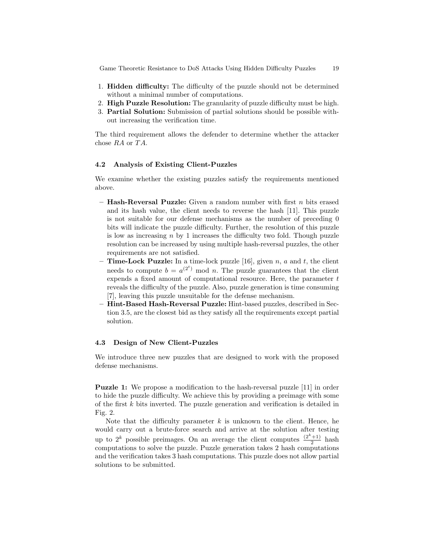Game Theoretic Resistance to DoS Attacks Using Hidden Difficulty Puzzles 19

- 1. Hidden difficulty: The difficulty of the puzzle should not be determined without a minimal number of computations.
- 2. High Puzzle Resolution: The granularity of puzzle difficulty must be high.
- 3. Partial Solution: Submission of partial solutions should be possible without increasing the verification time.

The third requirement allows the defender to determine whether the attacker chose  $RA$  or  $TA$ .

# 4.2 Analysis of Existing Client-Puzzles

We examine whether the existing puzzles satisfy the requirements mentioned above.

- Hash-Reversal Puzzle: Given a random number with first  $n$  bits erased and its hash value, the client needs to reverse the hash [11]. This puzzle is not suitable for our defense mechanisms as the number of preceding 0 bits will indicate the puzzle difficulty. Further, the resolution of this puzzle is low as increasing  $n$  by 1 increases the difficulty two fold. Though puzzle resolution can be increased by using multiple hash-reversal puzzles, the other requirements are not satisfied.
- **Time-Lock Puzzle:** In a time-lock puzzle [16], given n, a and t, the client needs to compute  $b = a^{(2^t)} \mod n$ . The puzzle guarantees that the client expends a fixed amount of computational resource. Here, the parameter  $t$ reveals the difficulty of the puzzle. Also, puzzle generation is time consuming [7], leaving this puzzle unsuitable for the defense mechanism.
- Hint-Based Hash-Reversal Puzzle: Hint-based puzzles, described in Section 3.5, are the closest bid as they satisfy all the requirements except partial solution.

### 4.3 Design of New Client-Puzzles

We introduce three new puzzles that are designed to work with the proposed defense mechanisms.

Puzzle 1: We propose a modification to the hash-reversal puzzle [11] in order to hide the puzzle difficulty. We achieve this by providing a preimage with some of the first  $k$  bits inverted. The puzzle generation and verification is detailed in Fig. 2.

Note that the difficulty parameter  $k$  is unknown to the client. Hence, he would carry out a brute-force search and arrive at the solution after testing up to  $2^k$  possible preimages. On an average the client computes  $\frac{(2^k+1)}{2}$  hash computations to solve the puzzle. Puzzle generation takes 2 hash computations and the verification takes 3 hash computations. This puzzle does not allow partial solutions to be submitted.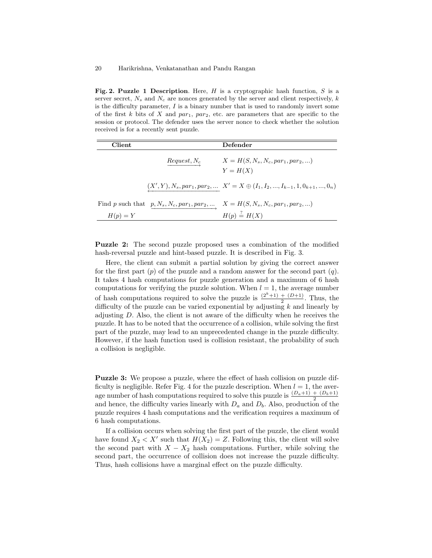Fig. 2. Puzzle 1 Description. Here, H is a cryptographic hash function, S is a server secret,  $N_s$  and  $N_c$  are nonces generated by the server and client respectively, k is the difficulty parameter,  $I$  is a binary number that is used to randomly invert some of the first  $k$  bits of  $X$  and  $par_1$ ,  $par_2$ , etc. are parameters that are specific to the session or protocol. The defender uses the server nonce to check whether the solution received is for a recently sent puzzle.

| Client     |                | Defender                                                                                    |
|------------|----------------|---------------------------------------------------------------------------------------------|
|            | $Request, N_c$ | $X = H(S, N_s, N_c, par_1, par_2, )$<br>$Y = H(X)$                                          |
|            |                | $(X',Y), N_s, par_1, par_2, \ldots\ X' = X \oplus (I_1, I_2, , I_{k-1}, 1, 0_{k+1}, , 0_n)$ |
|            |                | Find p such that $p, N_s, N_c, par_1, par_2, $ $X = H(S, N_s, N_c, par_1, par_2, )$         |
| $H(p) = Y$ |                | $H(p) \stackrel{?}{=} H(X)$                                                                 |

Puzzle 2: The second puzzle proposed uses a combination of the modified hash-reversal puzzle and hint-based puzzle. It is described in Fig. 3.

Here, the client can submit a partial solution by giving the correct answer for the first part  $(p)$  of the puzzle and a random answer for the second part  $(q)$ . It takes 4 hash computations for puzzle generation and a maximum of 6 hash computations for verifying the puzzle solution. When  $l = 1$ , the average number of hash computations required to solve the puzzle is  $\frac{(2^k+1) + (D+1)}{2}$ . Thus, the difficulty of the puzzle can be varied exponential by adjusting  $k$  and linearly by adjusting  $D$ . Also, the client is not aware of the difficulty when he receives the puzzle. It has to be noted that the occurrence of a collision, while solving the first part of the puzzle, may lead to an unprecedented change in the puzzle difficulty. However, if the hash function used is collision resistant, the probability of such a collision is negligible.

Puzzle 3: We propose a puzzle, where the effect of hash collision on puzzle difficulty is negligible. Refer Fig. 4 for the puzzle description. When  $l = 1$ , the average number of hash computations required to solve this puzzle is  $\frac{(D_a+1) + (D_b+1)}{2}$ and hence, the difficulty varies linearly with  $D_a$  and  $D_b$ . Also, production of the puzzle requires 4 hash computations and the verification requires a maximum of 6 hash computations.

If a collision occurs when solving the first part of the puzzle, the client would have found  $X_2 < X'$  such that  $H(X_2) = Z$ . Following this, the client will solve the second part with  $X - X_2$  hash computations. Further, while solving the second part, the occurrence of collision does not increase the puzzle difficulty. Thus, hash collisions have a marginal effect on the puzzle difficulty.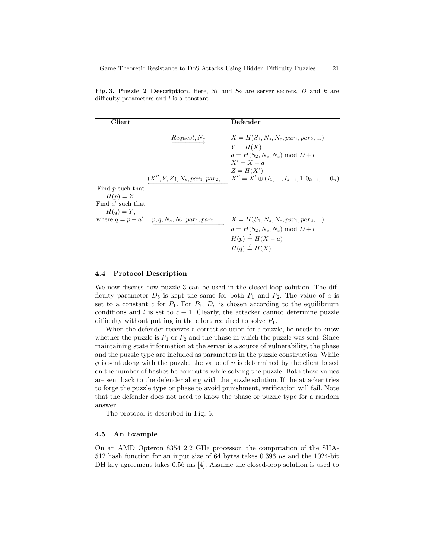Fig. 3. Puzzle 2 Description. Here,  $S_1$  and  $S_2$  are server secrets, D and k are difficulty parameters and l is a constant.

| Client              |                                                       | Defender                                                                           |
|---------------------|-------------------------------------------------------|------------------------------------------------------------------------------------|
|                     |                                                       |                                                                                    |
|                     | $Request, N_c$                                        | $X = H(S_1, N_s, N_c, par_1, par_2, )$                                             |
|                     |                                                       | $Y = H(X)$                                                                         |
|                     |                                                       | $a = H(S_2, N_s, N_c) \text{ mod } D + l$                                          |
|                     |                                                       | $X' = X - a$                                                                       |
|                     |                                                       | $Z = H(X')$                                                                        |
|                     |                                                       | $\big(X'',Y,Z),N_s,par_1,par_2,\ldots\ X''=X'\oplus (I_1,,I_{k-1},1,0_{k+1},,0_n)$ |
| Find p such that    |                                                       |                                                                                    |
| $H(p) = Z.$         |                                                       |                                                                                    |
| Find $a'$ such that |                                                       |                                                                                    |
| $H(q) = Y$ ,        |                                                       |                                                                                    |
|                     | where $q = p + a'$ . $p, q, N_s, N_c, par_1, par_2, $ | $X = H(S_1, N_s, N_c, par_1, par_2, )$                                             |
|                     |                                                       | $a = H(S_2, N_s, N_c) \text{ mod } D + l$                                          |
|                     |                                                       | $H(p) \stackrel{?}{=} H(X-a)$                                                      |
|                     |                                                       | $H(q) \stackrel{?}{=} H(X)$                                                        |
|                     |                                                       |                                                                                    |

### 4.4 Protocol Description

We now discuss how puzzle 3 can be used in the closed-loop solution. The difficulty parameter  $D_b$  is kept the same for both  $P_1$  and  $P_2$ . The value of a is set to a constant c for  $P_1$ . For  $P_2$ ,  $D_a$  is chosen according to the equilibrium conditions and l is set to  $c + 1$ . Clearly, the attacker cannot determine puzzle difficulty without putting in the effort required to solve  $P_1$ .

When the defender receives a correct solution for a puzzle, he needs to know whether the puzzle is  $P_1$  or  $P_2$  and the phase in which the puzzle was sent. Since maintaining state information at the server is a source of vulnerability, the phase and the puzzle type are included as parameters in the puzzle construction. While  $\phi$  is sent along with the puzzle, the value of n is determined by the client based on the number of hashes he computes while solving the puzzle. Both these values are sent back to the defender along with the puzzle solution. If the attacker tries to forge the puzzle type or phase to avoid punishment, verification will fail. Note that the defender does not need to know the phase or puzzle type for a random answer.

The protocol is described in Fig. 5.

#### 4.5 An Example

On an AMD Opteron 8354 2.2 GHz processor, the computation of the SHA-512 hash function for an input size of 64 bytes takes 0.396  $\mu$ s and the 1024-bit DH key agreement takes 0.56 ms [4]. Assume the closed-loop solution is used to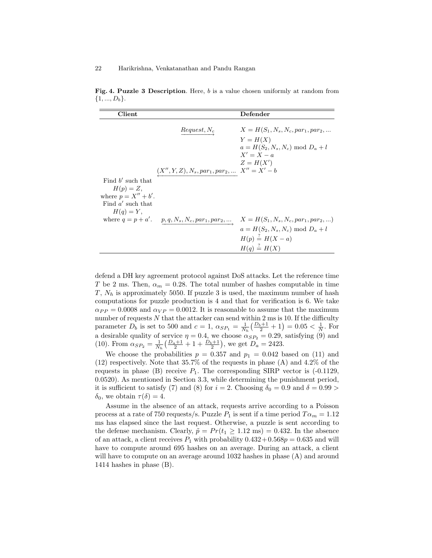Fig. 4. Puzzle 3 Description. Here, b is a value chosen uniformly at random from  $\{1, ..., D_b\}.$ 

| <b>Client</b>          |                                                                                | Defender                                    |
|------------------------|--------------------------------------------------------------------------------|---------------------------------------------|
|                        |                                                                                |                                             |
|                        | $Request, N_c$                                                                 | $X = H(S_1, N_s, N_c, par_1, par_2, $       |
|                        |                                                                                | $Y = H(X)$                                  |
|                        |                                                                                | $a = H(S_2, N_s, N_c) \text{ mod } D_a + l$ |
|                        |                                                                                | $X' = X - a$                                |
|                        |                                                                                | $Z = H(X')$                                 |
|                        | $(X^{\prime\prime},Y,Z),N_s,par_1,par_2,\ldots\ X^{\prime\prime}=X^{\prime}-b$ |                                             |
| Find $b'$ such that    |                                                                                |                                             |
| $H(p) = Z,$            |                                                                                |                                             |
| where $p = X'' + b'$ . |                                                                                |                                             |
| Find $a'$ such that    |                                                                                |                                             |
| $H(q) = Y$ ,           |                                                                                |                                             |
|                        | where $q = p + a'$ . $p, q, N_s, N_c, par_1, par_2, $                          | $X = H(S_1, N_s, N_c, par_1, par_2, )$      |
|                        |                                                                                | $a = H(S_2, N_s, N_c) \text{ mod } D_a + l$ |
|                        |                                                                                | $H(p) \stackrel{?}{=} H(X-a)$               |
|                        |                                                                                | $H(q) \stackrel{?}{=} H(X)$                 |
|                        |                                                                                |                                             |

defend a DH key agreement protocol against DoS attacks. Let the reference time T be 2 ms. Then,  $\alpha_m = 0.28$ . The total number of hashes computable in time  $T, N_h$  is approximately 5050. If puzzle 3 is used, the maximum number of hash computations for puzzle production is 4 and that for verification is 6. We take  $\alpha_{PP} = 0.0008$  and  $\alpha_{VP} = 0.0012$ . It is reasonable to assume that the maximum number of requests  $N$  that the attacker can send within 2 ms is 10. If the difficulty parameter  $D_b$  is set to 500 and  $c = 1$ ,  $\alpha_{SP_1} = \frac{1}{N_h} \left( \frac{D_b + 1}{2} + 1 \right) = 0.05 < \frac{1}{N}$ . For a desirable quality of service  $\eta = 0.4$ , we choose  $\alpha_{SP_2} = 0.29$ , satisfying (9) and (10). From  $\alpha_{SP_2} = \frac{1}{N_h} \left( \frac{D_a+1}{2} + 1 + \frac{D_b+1}{2} \right)$ , we get  $D_a = 2423$ .

We choose the probabilities  $p = 0.357$  and  $p_1 = 0.042$  based on (11) and (12) respectively. Note that 35.7% of the requests in phase (A) and 4.2% of the requests in phase (B) receive  $P_1$ . The corresponding SIRP vector is  $(-0.1129,$ 0.0520). As mentioned in Section 3.3, while determining the punishment period, it is sufficient to satisfy (7) and (8) for  $i = 2$ . Choosing  $\delta_0 = 0.9$  and  $\delta = 0.99$  $\delta_0$ , we obtain  $\tau(\delta) = 4$ .

Assume in the absence of an attack, requests arrive according to a Poisson process at a rate of 750 requests/s. Puzzle  $P_1$  is sent if a time period  $T\alpha_m = 1.12$ ms has elapsed since the last request. Otherwise, a puzzle is sent according to the defense mechanism. Clearly,  $\tilde{p} = Pr(t_1 \ge 1.12 \text{ ms}) = 0.432$ . In the absence of an attack, a client receives  $P_1$  with probability  $0.432 + 0.568p = 0.635$  and will have to compute around 695 hashes on an average. During an attack, a client will have to compute on an average around 1032 hashes in phase (A) and around 1414 hashes in phase (B).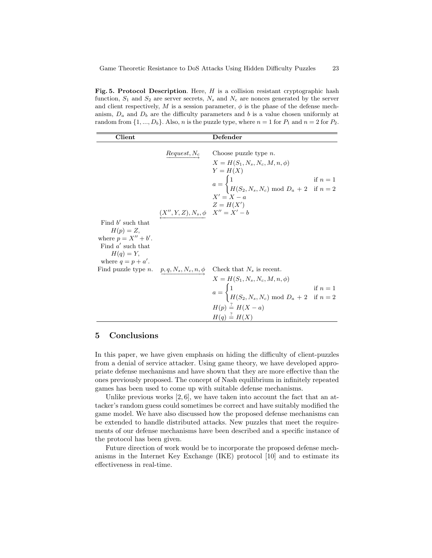Fig. 5. Protocol Description. Here,  $H$  is a collision resistant cryptographic hash function,  $S_1$  and  $S_2$  are server secrets,  $N_s$  and  $N_c$  are nonces generated by the server and client respectively, M is a session parameter,  $\phi$  is the phase of the defense mechanism,  $D_a$  and  $D_b$  are the difficulty parameters and b is a value chosen uniformly at random from  $\{1, ..., D_b\}$ . Also, *n* is the puzzle type, where  $n = 1$  for  $P_1$  and  $n = 2$  for  $P_2$ .

| <b>Client</b>                                                                                       |                                                                                  | Defender                                                                                                                                                                                                                                                                                                    |  |
|-----------------------------------------------------------------------------------------------------|----------------------------------------------------------------------------------|-------------------------------------------------------------------------------------------------------------------------------------------------------------------------------------------------------------------------------------------------------------------------------------------------------------|--|
|                                                                                                     |                                                                                  | $\overrightarrow{Request, N_c}$ Choose puzzle type <i>n</i> .<br>$X = H(S_1, N_s, N_c, M, n, \phi)$<br>$Y = H(X)$<br>$a = \begin{cases} 1 & \text{if } n = 1 \\ H(S_2, N_s, N_c) \text{ mod } D_a + 2 & \text{if } n = 2 \end{cases}$<br>$X' = X - a$                                                       |  |
| Find $b'$ such that<br>$H(p) = Z,$<br>where $p = X'' + b'$ .<br>Find $a'$ such that<br>$H(q) = Y$ , | $\begin{array}{cc} & \dots & \dots \\ (X'',Y,Z),N_s,\phi & X''=X'-b \end{array}$ |                                                                                                                                                                                                                                                                                                             |  |
| where $q = p + a'$ .                                                                                |                                                                                  | Find puzzle type <i>n</i> . $\underline{p, q, N_s, N_c, n, \phi}$ Check that $N_s$ is recent.<br>$X = H(S_1, N_s, N_c, M, n, \phi)$<br>$a = \begin{cases} 1 & \text{if } n = 1 \\ H(S_2, N_s, N_c) \text{ mod } D_a + 2 & \text{if } n = 2 \end{cases}$<br>$H(p) = H(X - a)$<br>$H(q) \stackrel{?}{=} H(X)$ |  |

### 5 Conclusions

In this paper, we have given emphasis on hiding the difficulty of client-puzzles from a denial of service attacker. Using game theory, we have developed appropriate defense mechanisms and have shown that they are more effective than the ones previously proposed. The concept of Nash equilibrium in infinitely repeated games has been used to come up with suitable defense mechanisms.

Unlike previous works  $[2, 6]$ , we have taken into account the fact that an attacker's random guess could sometimes be correct and have suitably modified the game model. We have also discussed how the proposed defense mechanisms can be extended to handle distributed attacks. New puzzles that meet the requirements of our defense mechanisms have been described and a specific instance of the protocol has been given.

Future direction of work would be to incorporate the proposed defense mechanisms in the Internet Key Exchange (IKE) protocol [10] and to estimate its effectiveness in real-time.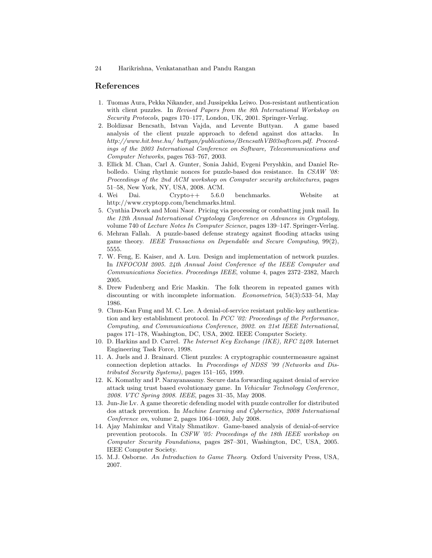# References

- 1. Tuomas Aura, Pekka Nikander, and Jussipekka Leiwo. Dos-resistant authentication with client puzzles. In Revised Papers from the 8th International Workshop on Security Protocols, pages 170–177, London, UK, 2001. Springer-Verlag.
- 2. Boldizsar Bencsath, Istvan Vajda, and Levente Buttyan. A game based analysis of the client puzzle approach to defend against dos attacks. In http://www.hit.bme.hu/ buttyan/publications/BencsathVB03softcom.pdf. Proceedings of the 2003 International Conference on Software, Telecommunications and Computer Networks, pages 763–767, 2003.
- 3. Ellick M. Chan, Carl A. Gunter, Sonia Jahid, Evgeni Peryshkin, and Daniel Rebolledo. Using rhythmic nonces for puzzle-based dos resistance. In CSAW '08: Proceedings of the 2nd ACM workshop on Computer security architectures, pages 51–58, New York, NY, USA, 2008. ACM.
- 4. Wei Dai. Crypto++ 5.6.0 benchmarks. Website at http://www.cryptopp.com/benchmarks.html.
- 5. Cynthia Dwork and Moni Naor. Pricing via processing or combatting junk mail. In the 12th Annual International Cryptology Conference on Advances in Cryptology, volume 740 of Lecture Notes In Computer Science, pages 139–147. Springer-Verlag.
- 6. Mehran Fallah. A puzzle-based defense strategy against flooding attacks using game theory. IEEE Transactions on Dependable and Secure Computing, 99(2), 5555.
- 7. W. Feng, E. Kaiser, and A. Luu. Design and implementation of network puzzles. In INFOCOM 2005. 24th Annual Joint Conference of the IEEE Computer and Communications Societies. Proceedings IEEE, volume 4, pages 2372–2382, March 2005.
- 8. Drew Fudenberg and Eric Maskin. The folk theorem in repeated games with discounting or with incomplete information. Econometrica, 54(3):533–54, May 1986.
- 9. Chun-Kan Fung and M. C. Lee. A denial-of-service resistant public-key authentication and key establishment protocol. In PCC '02: Proceedings of the Performance, Computing, and Communications Conference, 2002. on 21st IEEE International, pages 171–178, Washington, DC, USA, 2002. IEEE Computer Society.
- 10. D. Harkins and D. Carrel. The Internet Key Exchange (IKE), RFC 2409. Internet Engineering Task Force, 1998.
- 11. A. Juels and J. Brainard. Client puzzles: A cryptographic countermeasure against connection depletion attacks. In Proceedings of NDSS '99 (Networks and Distributed Security Systems), pages 151–165, 1999.
- 12. K. Komathy and P. Narayanasamy. Secure data forwarding against denial of service attack using trust based evolutionary game. In Vehicular Technology Conference, 2008. VTC Spring 2008. IEEE, pages 31–35, May 2008.
- 13. Jun-Jie Lv. A game theoretic defending model with puzzle controller for distributed dos attack prevention. In Machine Learning and Cybernetics, 2008 International Conference on, volume 2, pages 1064–1069, July 2008.
- 14. Ajay Mahimkar and Vitaly Shmatikov. Game-based analysis of denial-of-service prevention protocols. In CSFW '05: Proceedings of the 18th IEEE workshop on Computer Security Foundations, pages 287–301, Washington, DC, USA, 2005. IEEE Computer Society.
- 15. M.J. Osborne. An Introduction to Game Theory. Oxford University Press, USA, 2007.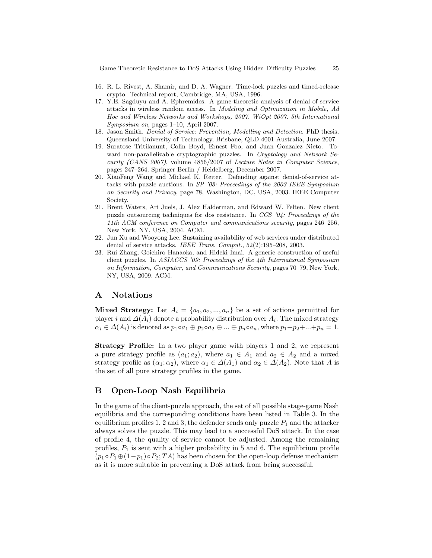Game Theoretic Resistance to DoS Attacks Using Hidden Difficulty Puzzles 25

- 16. R. L. Rivest, A. Shamir, and D. A. Wagner. Time-lock puzzles and timed-release crypto. Technical report, Cambridge, MA, USA, 1996.
- 17. Y.E. Sagduyu and A. Ephremides. A game-theoretic analysis of denial of service attacks in wireless random access. In Modeling and Optimization in Mobile, Ad Hoc and Wireless Networks and Workshops, 2007. WiOpt 2007. 5th International Symposium on, pages 1–10, April 2007.
- 18. Jason Smith. Denial of Service: Prevention, Modelling and Detection. PhD thesis, Queensland University of Technology, Brisbane, QLD 4001 Australia, June 2007.
- 19. Suratose Tritilanunt, Colin Boyd, Ernest Foo, and Juan Gonzalez Nieto. Toward non-parallelizable cryptographic puzzles. In Cryptology and Network Security (CANS 2007), volume 4856/2007 of Lecture Notes in Computer Science, pages 247–264. Springer Berlin / Heidelberg, December 2007.
- 20. XiaoFeng Wang and Michael K. Reiter. Defending against denial-of-service attacks with puzzle auctions. In SP '03: Proceedings of the 2003 IEEE Symposium on Security and Privacy, page 78, Washington, DC, USA, 2003. IEEE Computer Society.
- 21. Brent Waters, Ari Juels, J. Alex Halderman, and Edward W. Felten. New client puzzle outsourcing techniques for dos resistance. In CCS '04: Proceedings of the 11th ACM conference on Computer and communications security, pages 246–256, New York, NY, USA, 2004. ACM.
- 22. Jun Xu and Wooyong Lee. Sustaining availability of web services under distributed denial of service attacks. IEEE Trans. Comput., 52(2):195–208, 2003.
- 23. Rui Zhang, Goichiro Hanaoka, and Hideki Imai. A generic construction of useful client puzzles. In ASIACCS '09: Proceedings of the 4th International Symposium on Information, Computer, and Communications Security, pages 70–79, New York, NY, USA, 2009. ACM.

## A Notations

**Mixed Strategy:** Let  $A_i = \{a_1, a_2, ..., a_n\}$  be a set of actions permitted for player i and  $\Delta(A_i)$  denote a probability distribution over  $A_i$ . The mixed strategy  $\alpha_i \in \Delta(A_i)$  is denoted as  $p_1 \circ a_1 \oplus p_2 \circ a_2 \oplus ... \oplus p_n \circ a_n$ , where  $p_1 + p_2 + ... + p_n = 1$ .

Strategy Profile: In a two player game with players 1 and 2, we represent a pure strategy profile as  $(a_1; a_2)$ , where  $a_1 \in A_1$  and  $a_2 \in A_2$  and a mixed strategy profile as  $(\alpha_1; \alpha_2)$ , where  $\alpha_1 \in \Delta(A_1)$  and  $\alpha_2 \in \Delta(A_2)$ . Note that A is the set of all pure strategy profiles in the game.

# B Open-Loop Nash Equilibria

In the game of the client-puzzle approach, the set of all possible stage-game Nash equilibria and the corresponding conditions have been listed in Table 3. In the equilibrium profiles 1, 2 and 3, the defender sends only puzzle  $P_1$  and the attacker always solves the puzzle. This may lead to a successful DoS attack. In the case of profile 4, the quality of service cannot be adjusted. Among the remaining profiles,  $P_1$  is sent with a higher probability in 5 and 6. The equilibrium profile  $(p_1 \circ P_1 \oplus (1-p_1) \circ P_2; TA)$  has been chosen for the open-loop defense mechanism as it is more suitable in preventing a DoS attack from being successful.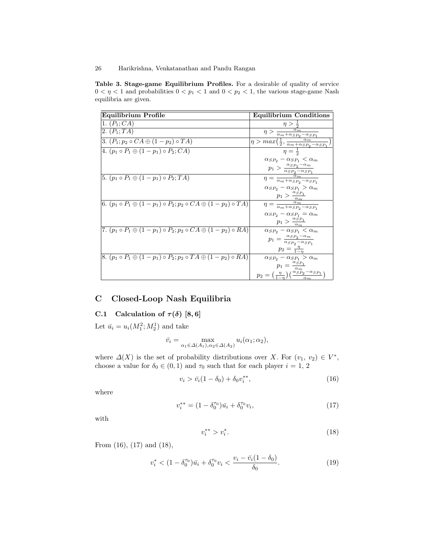Table 3. Stage-game Equilibrium Profiles. For a desirable of quality of service  $0 < \eta < 1$  and probabilities  $0 < p_1 < 1$  and  $0 < p_2 < 1,$  the various stage-game Nash equilibria are given.

| Equilibrium Profile                                                                     | <b>Equilibrium Conditions</b>                                                                                                                                  |
|-----------------------------------------------------------------------------------------|----------------------------------------------------------------------------------------------------------------------------------------------------------------|
| 1. $(P_1; CA)$                                                                          | $\eta > \frac{1}{2}$                                                                                                                                           |
| 2. $(P_1; TA)$                                                                          |                                                                                                                                                                |
| 3. $(P_1; p_2 \circ CA \oplus (1-p_2) \circ TA)$                                        | $\boxed{\eta > \frac{\alpha_m}{\alpha_m + \alpha_{SP_2} - \alpha_{SP_1}}}{\eta > max(\frac{1}{2}, \frac{\alpha_m}{\alpha_m + \alpha_{SP_2} - \alpha_{SP_1}})}$ |
| 4. $(p_1 \circ P_1 \oplus (1 - p_1) \circ P_2; CA)$                                     | $\eta = \frac{1}{2}$                                                                                                                                           |
|                                                                                         | $\alpha_{SP_2} - \alpha_{SP_1} < \alpha_m$                                                                                                                     |
|                                                                                         | $p_1 > \frac{\alpha_{SP_2} - \alpha_m}{\alpha_{SP_2} - \alpha_{SP_1}}$                                                                                         |
| 5. $(p_1 \circ P_1 \oplus (1 - p_1) \circ P_2; TA)$                                     | $\eta = \frac{\alpha_m}{\alpha_m + \alpha_{SP_2} - \alpha_{SP_1}}$                                                                                             |
|                                                                                         | $\alpha_{SP_2} - \alpha_{SP_1} > \alpha_m$                                                                                                                     |
|                                                                                         |                                                                                                                                                                |
| 6. $(p_1 \circ P_1 \oplus (1 - p_1) \circ P_2; p_2 \circ CA \oplus (1 - p_2) \circ TA)$ | $\frac{p_1 > \frac{\alpha_S p_1}{\alpha_m}}{\eta = \frac{\alpha_m}{\alpha_m + \alpha_S p_2 - \alpha_S p_1}}$                                                   |
|                                                                                         | $\alpha_{SP_2}-\alpha_{SP_1}=\alpha_m$                                                                                                                         |
|                                                                                         | $p_1 > \frac{\alpha_{SP_1}}{\alpha_m}$                                                                                                                         |
| 7. $(p_1 \circ P_1 \oplus (1 - p_1) \circ P_2; p_2 \circ CA \oplus (1 - p_2) \circ RA)$ | $\alpha_{SP_2} - \alpha_{SP_1} < \alpha_m$                                                                                                                     |
|                                                                                         | $p_1 = \frac{\alpha_{SP_2} - \alpha_m}{\alpha_{SP_2} - \alpha_{SP_1}}$                                                                                         |
|                                                                                         | $p_2 = \frac{\eta}{1-n}$                                                                                                                                       |
| 8. $(p_1 \circ P_1 \oplus (1 - p_1) \circ P_2; p_2 \circ TA \oplus (1 - p_2) \circ RA)$ | $\alpha_{SP_2}-\alpha_{SP_1}>\alpha_m$                                                                                                                         |
|                                                                                         | $p_1 = \frac{\alpha_{SP_1}}{\alpha_m}$                                                                                                                         |
|                                                                                         | $p_2 = \left(\frac{\eta}{1-\eta}\right) \left(\frac{\alpha_S \ddot{p}_2 - \alpha_S p_1}{\alpha_m}\right)$                                                      |

# C Closed-Loop Nash Equilibria

# C.1 Calculation of  $\tau(\delta)$  [8, 6]

Let  $\bar{u}_i = u_i(M_1^2; M_2^1)$  and take

$$
\bar{v}_i = \max_{\alpha_1 \in \Delta(A_1), \alpha_2 \in \Delta(A_2)} u_i(\alpha_1; \alpha_2),
$$

where  $\Delta(X)$  is the set of probability distributions over X. For  $(v_1, v_2) \in V^*$ , choose a value for  $\delta_0 \in (0, 1)$  and  $\tau_0$  such that for each player  $i = 1, 2$ 

$$
v_i > \bar{v}_i (1 - \delta_0) + \delta_0 v_i^{**}, \tag{16}
$$

where

$$
v_i^{**} = (1 - \delta_0^{\tau_0})\bar{u}_i + \delta_0^{\tau_0}v_i,\tag{17}
$$

with

$$
v_i^{**} > v_i^*.\tag{18}
$$

From (16), (17) and (18),

$$
v_i^* < (1 - \delta_0^{\tau_0})\bar{u}_i + \delta_0^{\tau_0}v_i < \frac{v_i - \bar{v}_i(1 - \delta_0)}{\delta_0}.\tag{19}
$$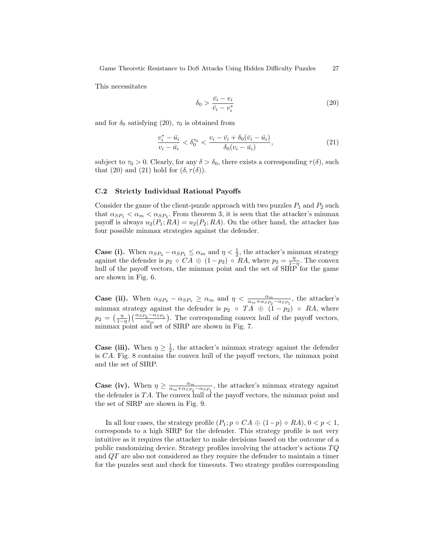This necessitates

$$
\delta_0 > \frac{\bar{v_i} - v_i}{\bar{v_i} - v_i^*} \tag{20}
$$

and for  $\delta_0$  satisfying (20),  $\tau_0$  is obtained from

$$
\frac{v_i^* - \bar{u_i}}{v_i - \bar{u_i}} < \delta_0^{\tau_0} < \frac{v_i - \bar{v_i} + \delta_0(\bar{v_i} - \bar{u_i})}{\delta_0(v_i - \bar{u_i})},
$$
\n(21)

subject to  $\tau_0 > 0$ . Clearly, for any  $\delta > \delta_0$ , there exists a corresponding  $\tau(\delta)$ , such that (20) and (21) hold for  $(\delta, \tau(\delta))$ .

### C.2 Strictly Individual Rational Payoffs

Consider the game of the client-puzzle approach with two puzzles  $P_1$  and  $P_2$  such that  $\alpha_{SP_1} < \alpha_m < \alpha_{SP_2}$ . From theorem 3, it is seen that the attacker's minmax payoff is always  $u_2(P_1; RA) = u_2(P_2; RA)$ . On the other hand, the attacker has four possible minmax strategies against the defender.

**Case (i).** When  $\alpha_{SP_2} - \alpha_{SP_1} \leq \alpha_m$  and  $\eta < \frac{1}{2}$ , the attacker's minmax strategy against the defender is  $p_2 \circ CA \oplus (1-p_2) \circ RA$ , where  $p_2 = \frac{\eta}{1-\eta}$ . The convex hull of the payoff vectors, the minmax point and the set of  $SIRP'$  for the game are shown in Fig. 6.

**Case (ii).** When  $\alpha_{SP_2} - \alpha_{SP_1} \ge \alpha_m$  and  $\eta < \frac{\alpha_m}{\alpha_m + \alpha_{SP_2} - \alpha_{SP_1}}$ , the attacker's minmax strategy against the defender is  $p_2 \circ TA \oplus (1 - p_2) \circ RA$ , where  $p_2 = \left(\frac{\eta}{1-\eta}\right) \left(\frac{\alpha_{SP_2}-\alpha_{SP_1}}{\alpha_m}\right)$ . The corresponding convex hull of the payoff vectors, minmax point and set of SIRP are shown in Fig. 7.

**Case (iii).** When  $\eta \geq \frac{1}{2}$ , the attacker's minmax strategy against the defender is CA. Fig. 8 contains the convex hull of the payoff vectors, the minmax point and the set of SIRP.

**Case (iv).** When  $\eta \ge \frac{\alpha_m}{\alpha_m + \alpha_{SP_2} - \alpha_{SP_1}}$ , the attacker's minmax strategy against the defender is  $TA$ . The convex hull of the payoff vectors, the minmax point and the set of SIRP are shown in Fig. 9.

In all four cases, the strategy profile  $(P_1; p \circ CA \oplus (1-p) \circ RA)$ ,  $0 < p < 1$ , corresponds to a high SIRP for the defender. This strategy profile is not very intuitive as it requires the attacker to make decisions based on the outcome of a public randomizing device. Strategy profiles involving the attacker's actions  $TQ$ and QT are also not considered as they require the defender to maintain a timer for the puzzles sent and check for timeouts. Two strategy profiles corresponding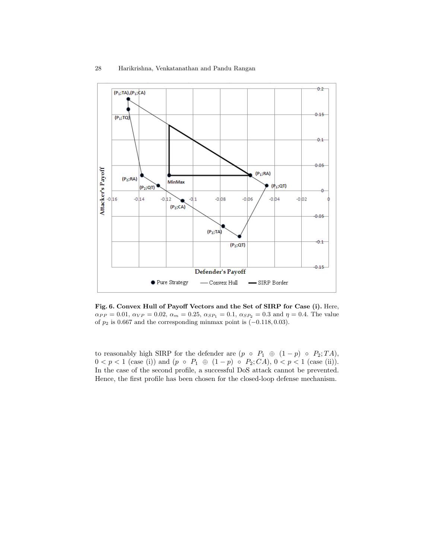

Fig. 6. Convex Hull of Payoff Vectors and the Set of SIRP for Case (i). Here,  $\alpha_{PP} = 0.01, \ \alpha_{VP} = 0.02, \ \alpha_m = 0.25, \ \alpha_{SP_1} = 0.1, \ \alpha_{SP_2} = 0.3 \text{ and } \eta = 0.4.$  The value of  $p_2$  is 0.667 and the corresponding minmax point is  $(-0.118, 0.03)$ .

to reasonably high SIRP for the defender are  $(p \circ P_1 \oplus (1-p) \circ P_2; TA)$ ,  $0 < p < 1$  (case (i)) and  $(p \circ P_1 \oplus (1-p) \circ P_2; CA), 0 < p < 1$  (case (ii)). In the case of the second profile, a successful DoS attack cannot be prevented. Hence, the first profile has been chosen for the closed-loop defense mechanism.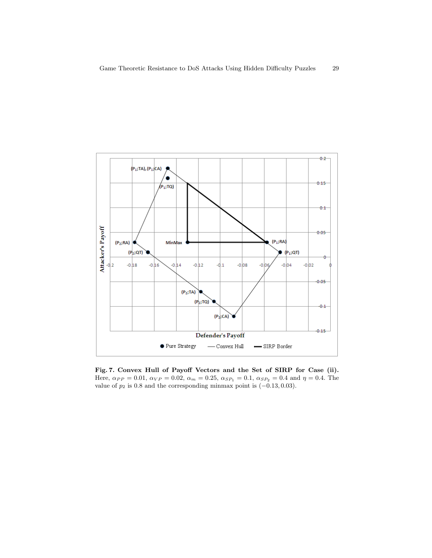

Fig. 7. Convex Hull of Payoff Vectors and the Set of SIRP for Case (ii). Here,  $\alpha_{PP} = 0.01$ ,  $\alpha_{VP} = 0.02$ ,  $\alpha_m = 0.25$ ,  $\alpha_{SP_1} = 0.1$ ,  $\alpha_{SP_2} = 0.4$  and  $\eta = 0.4$ . The value of  $p_2$  is 0.8 and the corresponding minmax point is  $(-0.13, 0.03)$ .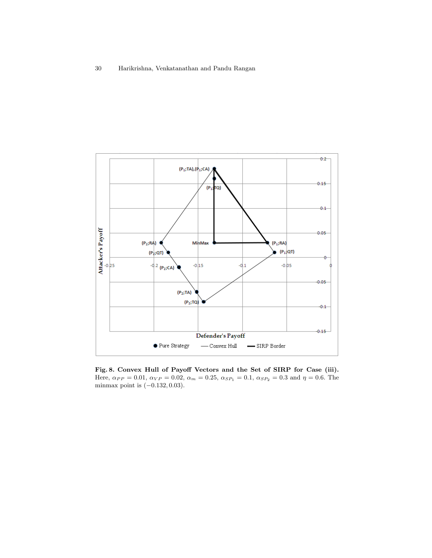

Fig. 8. Convex Hull of Payoff Vectors and the Set of SIRP for Case (iii). Here,  $\alpha_{PP} = 0.01$ ,  $\alpha_{VP} = 0.02$ ,  $\alpha_m = 0.25$ ,  $\alpha_{SP_1} = 0.1$ ,  $\alpha_{SP_2} = 0.3$  and  $\eta = 0.6$ . The minmax point is  $(-0.132, 0.03)$ .